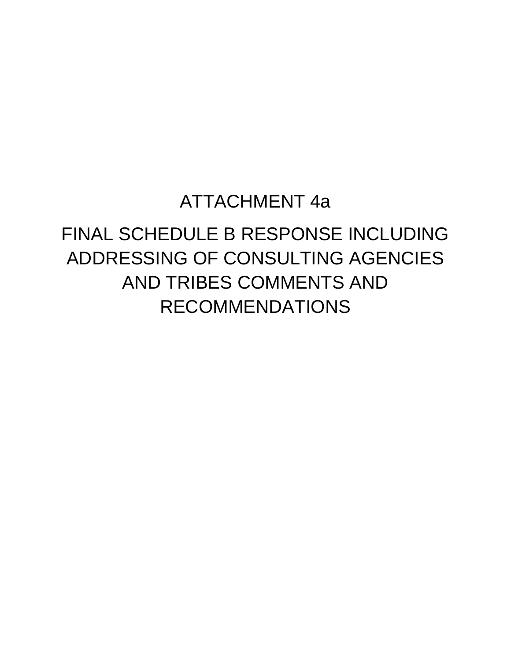# ATTACHMENT 4a

# FINAL SCHEDULE B RESPONSE INCLUDING ADDRESSING OF CONSULTING AGENCIES AND TRIBES COMMENTS AND RECOMMENDATIONS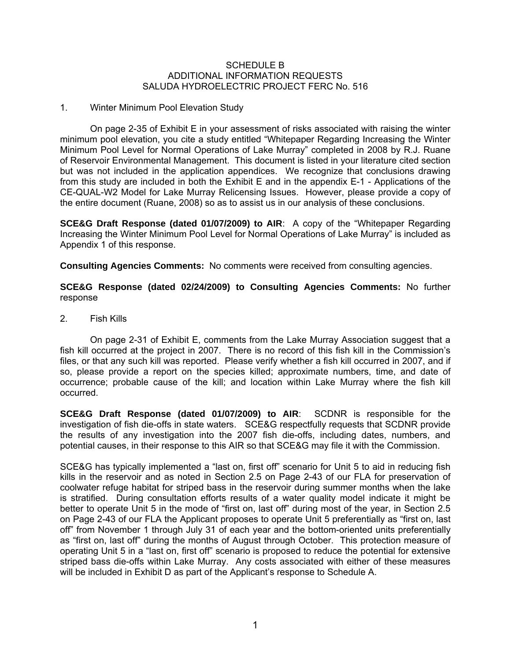#### SCHEDULE B ADDITIONAL INFORMATION REQUESTS SALUDA HYDROELECTRIC PROJECT FERC No. 516

#### 1. Winter Minimum Pool Elevation Study

On page 2-35 of Exhibit E in your assessment of risks associated with raising the winter minimum pool elevation, you cite a study entitled "Whitepaper Regarding Increasing the Winter Minimum Pool Level for Normal Operations of Lake Murray" completed in 2008 by R.J. Ruane of Reservoir Environmental Management. This document is listed in your literature cited section but was not included in the application appendices. We recognize that conclusions drawing from this study are included in both the Exhibit E and in the appendix E-1 - Applications of the CE-QUAL-W2 Model for Lake Murray Relicensing Issues. However, please provide a copy of the entire document (Ruane, 2008) so as to assist us in our analysis of these conclusions.

**SCE&G Draft Response (dated 01/07/2009) to AIR**: A copy of the "Whitepaper Regarding Increasing the Winter Minimum Pool Level for Normal Operations of Lake Murray" is included as Appendix 1 of this response.

**Consulting Agencies Comments:** No comments were received from consulting agencies.

**SCE&G Response (dated 02/24/2009) to Consulting Agencies Comments:** No further response

2. Fish Kills

On page 2-31 of Exhibit E, comments from the Lake Murray Association suggest that a fish kill occurred at the project in 2007. There is no record of this fish kill in the Commission's files, or that any such kill was reported. Please verify whether a fish kill occurred in 2007, and if so, please provide a report on the species killed; approximate numbers, time, and date of occurrence; probable cause of the kill; and location within Lake Murray where the fish kill occurred.

**SCE&G Draft Response (dated 01/07/2009) to AIR**: SCDNR is responsible for the investigation of fish die-offs in state waters. SCE&G respectfully requests that SCDNR provide the results of any investigation into the 2007 fish die-offs, including dates, numbers, and potential causes, in their response to this AIR so that SCE&G may file it with the Commission.

SCE&G has typically implemented a "last on, first off" scenario for Unit 5 to aid in reducing fish kills in the reservoir and as noted in Section 2.5 on Page 2-43 of our FLA for preservation of coolwater refuge habitat for striped bass in the reservoir during summer months when the lake is stratified. During consultation efforts results of a water quality model indicate it might be better to operate Unit 5 in the mode of "first on, last off" during most of the year, in Section 2.5 on Page 2-43 of our FLA the Applicant proposes to operate Unit 5 preferentially as "first on, last off" from November 1 through July 31 of each year and the bottom-oriented units preferentially as "first on, last off" during the months of August through October. This protection measure of operating Unit 5 in a "last on, first off" scenario is proposed to reduce the potential for extensive striped bass die-offs within Lake Murray. Any costs associated with either of these measures will be included in Exhibit D as part of the Applicant's response to Schedule A.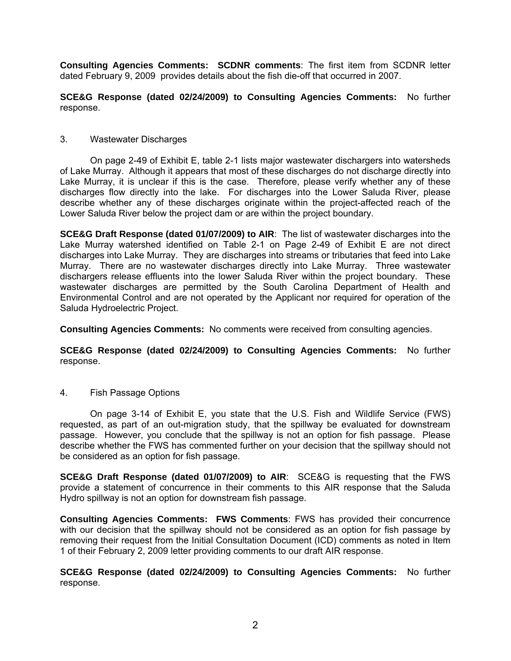**Consulting Agencies Comments: SCDNR comments**: The first item from SCDNR letter dated February 9, 2009 provides details about the fish die-off that occurred in 2007.

**SCE&G Response (dated 02/24/2009) to Consulting Agencies Comments:** No further response.

#### 3. Wastewater Discharges

On page 2-49 of Exhibit E, table 2-1 lists major wastewater dischargers into watersheds of Lake Murray. Although it appears that most of these discharges do not discharge directly into Lake Murray, it is unclear if this is the case. Therefore, please verify whether any of these discharges flow directly into the lake. For discharges into the Lower Saluda River, please describe whether any of these discharges originate within the project-affected reach of the Lower Saluda River below the project dam or are within the project boundary.

**SCE&G Draft Response (dated 01/07/2009) to AIR**: The list of wastewater discharges into the Lake Murray watershed identified on Table 2-1 on Page 2-49 of Exhibit E are not direct discharges into Lake Murray. They are discharges into streams or tributaries that feed into Lake Murray. There are no wastewater discharges directly into Lake Murray. Three wastewater dischargers release effluents into the lower Saluda River within the project boundary. These wastewater discharges are permitted by the South Carolina Department of Health and Environmental Control and are not operated by the Applicant nor required for operation of the Saluda Hydroelectric Project.

**Consulting Agencies Comments:** No comments were received from consulting agencies.

**SCE&G Response (dated 02/24/2009) to Consulting Agencies Comments:** No further response.

4. Fish Passage Options

On page 3-14 of Exhibit E, you state that the U.S. Fish and Wildlife Service (FWS) requested, as part of an out-migration study, that the spillway be evaluated for downstream passage. However, you conclude that the spillway is not an option for fish passage. Please describe whether the FWS has commented further on your decision that the spillway should not be considered as an option for fish passage.

**SCE&G Draft Response (dated 01/07/2009) to AIR**: SCE&G is requesting that the FWS provide a statement of concurrence in their comments to this AIR response that the Saluda Hydro spillway is not an option for downstream fish passage.

**Consulting Agencies Comments: FWS Comments**: FWS has provided their concurrence with our decision that the spillway should not be considered as an option for fish passage by removing their request from the Initial Consultation Document (ICD) comments as noted in Item 1 of their February 2, 2009 letter providing comments to our draft AIR response.

**SCE&G Response (dated 02/24/2009) to Consulting Agencies Comments:** No further response.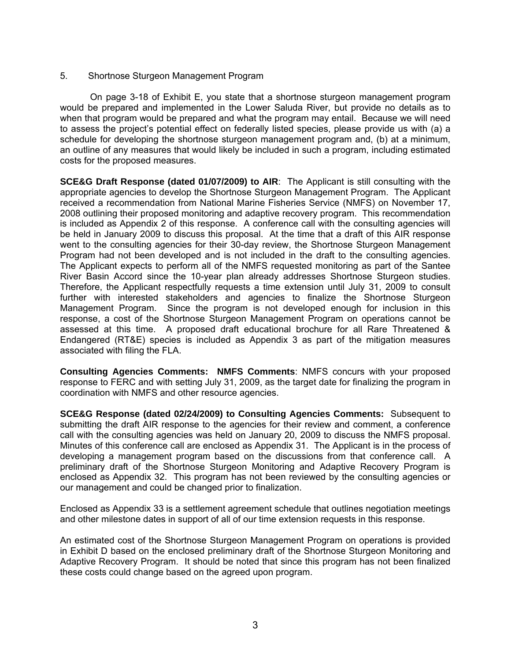# 5. Shortnose Sturgeon Management Program

On page 3-18 of Exhibit E, you state that a shortnose sturgeon management program would be prepared and implemented in the Lower Saluda River, but provide no details as to when that program would be prepared and what the program may entail. Because we will need to assess the project's potential effect on federally listed species, please provide us with (a) a schedule for developing the shortnose sturgeon management program and, (b) at a minimum, an outline of any measures that would likely be included in such a program, including estimated costs for the proposed measures.

**SCE&G Draft Response (dated 01/07/2009) to AIR**: The Applicant is still consulting with the appropriate agencies to develop the Shortnose Sturgeon Management Program. The Applicant received a recommendation from National Marine Fisheries Service (NMFS) on November 17, 2008 outlining their proposed monitoring and adaptive recovery program. This recommendation is included as Appendix 2 of this response. A conference call with the consulting agencies will be held in January 2009 to discuss this proposal. At the time that a draft of this AIR response went to the consulting agencies for their 30-day review, the Shortnose Sturgeon Management Program had not been developed and is not included in the draft to the consulting agencies. The Applicant expects to perform all of the NMFS requested monitoring as part of the Santee River Basin Accord since the 10-year plan already addresses Shortnose Sturgeon studies. Therefore, the Applicant respectfully requests a time extension until July 31, 2009 to consult further with interested stakeholders and agencies to finalize the Shortnose Sturgeon Management Program. Since the program is not developed enough for inclusion in this response, a cost of the Shortnose Sturgeon Management Program on operations cannot be assessed at this time. A proposed draft educational brochure for all Rare Threatened & Endangered (RT&E) species is included as Appendix 3 as part of the mitigation measures associated with filing the FLA.

**Consulting Agencies Comments: NMFS Comments**: NMFS concurs with your proposed response to FERC and with setting July 31, 2009, as the target date for finalizing the program in coordination with NMFS and other resource agencies.

**SCE&G Response (dated 02/24/2009) to Consulting Agencies Comments:** Subsequent to submitting the draft AIR response to the agencies for their review and comment, a conference call with the consulting agencies was held on January 20, 2009 to discuss the NMFS proposal. Minutes of this conference call are enclosed as Appendix 31. The Applicant is in the process of developing a management program based on the discussions from that conference call. A preliminary draft of the Shortnose Sturgeon Monitoring and Adaptive Recovery Program is enclosed as Appendix 32. This program has not been reviewed by the consulting agencies or our management and could be changed prior to finalization.

Enclosed as Appendix 33 is a settlement agreement schedule that outlines negotiation meetings and other milestone dates in support of all of our time extension requests in this response.

An estimated cost of the Shortnose Sturgeon Management Program on operations is provided in Exhibit D based on the enclosed preliminary draft of the Shortnose Sturgeon Monitoring and Adaptive Recovery Program. It should be noted that since this program has not been finalized these costs could change based on the agreed upon program.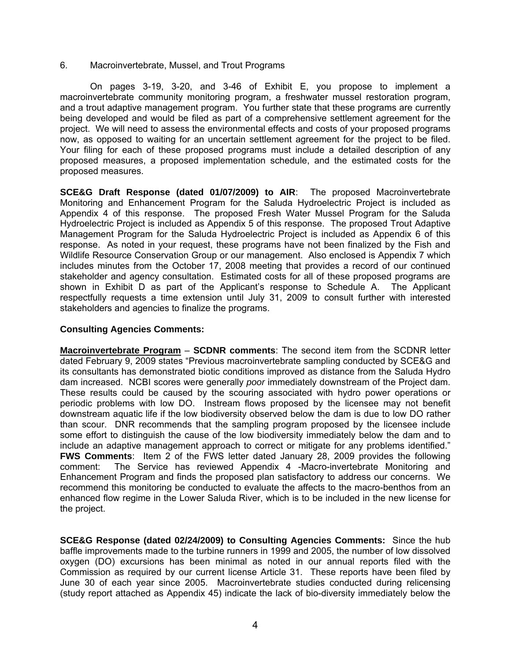6. Macroinvertebrate, Mussel, and Trout Programs

On pages 3-19, 3-20, and 3-46 of Exhibit E, you propose to implement a macroinvertebrate community monitoring program, a freshwater mussel restoration program, and a trout adaptive management program. You further state that these programs are currently being developed and would be filed as part of a comprehensive settlement agreement for the project. We will need to assess the environmental effects and costs of your proposed programs now, as opposed to waiting for an uncertain settlement agreement for the project to be filed. Your filing for each of these proposed programs must include a detailed description of any proposed measures, a proposed implementation schedule, and the estimated costs for the proposed measures.

**SCE&G Draft Response (dated 01/07/2009) to AIR**: The proposed Macroinvertebrate Monitoring and Enhancement Program for the Saluda Hydroelectric Project is included as Appendix 4 of this response. The proposed Fresh Water Mussel Program for the Saluda Hydroelectric Project is included as Appendix 5 of this response. The proposed Trout Adaptive Management Program for the Saluda Hydroelectric Project is included as Appendix 6 of this response. As noted in your request, these programs have not been finalized by the Fish and Wildlife Resource Conservation Group or our management. Also enclosed is Appendix 7 which includes minutes from the October 17, 2008 meeting that provides a record of our continued stakeholder and agency consultation. Estimated costs for all of these proposed programs are shown in Exhibit D as part of the Applicant's response to Schedule A. The Applicant respectfully requests a time extension until July 31, 2009 to consult further with interested stakeholders and agencies to finalize the programs.

# **Consulting Agencies Comments:**

**Macroinvertebrate Program** – **SCDNR comments**: The second item from the SCDNR letter dated February 9, 2009 states "Previous macroinvertebrate sampling conducted by SCE&G and its consultants has demonstrated biotic conditions improved as distance from the Saluda Hydro dam increased. NCBI scores were generally *poor* immediately downstream of the Project dam. These results could be caused by the scouring associated with hydro power operations or periodic problems with low DO. Instream flows proposed by the licensee may not benefit downstream aquatic life if the low biodiversity observed below the dam is due to low DO rather than scour. DNR recommends that the sampling program proposed by the licensee include some effort to distinguish the cause of the low biodiversity immediately below the dam and to include an adaptive management approach to correct or mitigate for any problems identified." **FWS Comments**: Item 2 of the FWS letter dated January 28, 2009 provides the following comment: The Service has reviewed Appendix 4 -Macro-invertebrate Monitoring and Enhancement Program and finds the proposed plan satisfactory to address our concerns. We recommend this monitoring be conducted to evaluate the affects to the macro-benthos from an enhanced flow regime in the Lower Saluda River, which is to be included in the new license for the project.

**SCE&G Response (dated 02/24/2009) to Consulting Agencies Comments:** Since the hub baffle improvements made to the turbine runners in 1999 and 2005, the number of low dissolved oxygen (DO) excursions has been minimal as noted in our annual reports filed with the Commission as required by our current license Article 31. These reports have been filed by June 30 of each year since 2005. Macroinvertebrate studies conducted during relicensing (study report attached as Appendix 45) indicate the lack of bio-diversity immediately below the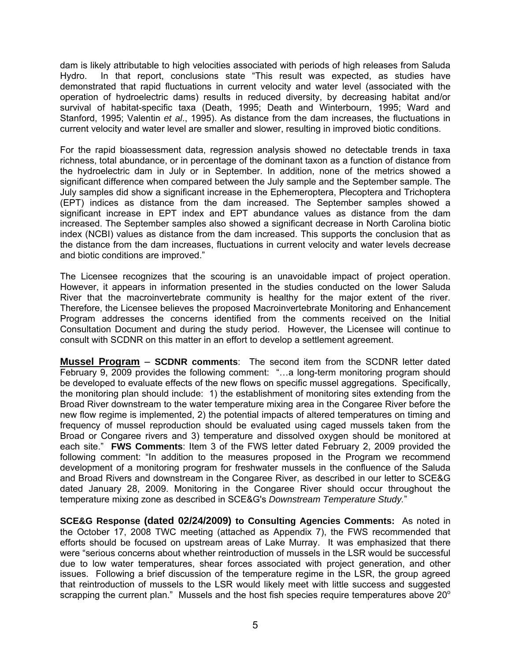dam is likely attributable to high velocities associated with periods of high releases from Saluda Hydro. In that report, conclusions state "This result was expected, as studies have demonstrated that rapid fluctuations in current velocity and water level (associated with the operation of hydroelectric dams) results in reduced diversity, by decreasing habitat and/or survival of habitat-specific taxa (Death, 1995; Death and Winterbourn, 1995; Ward and Stanford, 1995; Valentin *et al*., 1995). As distance from the dam increases, the fluctuations in current velocity and water level are smaller and slower, resulting in improved biotic conditions.

For the rapid bioassessment data, regression analysis showed no detectable trends in taxa richness, total abundance, or in percentage of the dominant taxon as a function of distance from the hydroelectric dam in July or in September. In addition, none of the metrics showed a significant difference when compared between the July sample and the September sample. The July samples did show a significant increase in the Ephemeroptera, Plecoptera and Trichoptera (EPT) indices as distance from the dam increased. The September samples showed a significant increase in EPT index and EPT abundance values as distance from the dam increased. The September samples also showed a significant decrease in North Carolina biotic index (NCBI) values as distance from the dam increased. This supports the conclusion that as the distance from the dam increases, fluctuations in current velocity and water levels decrease and biotic conditions are improved."

The Licensee recognizes that the scouring is an unavoidable impact of project operation. However, it appears in information presented in the studies conducted on the lower Saluda River that the macroinvertebrate community is healthy for the major extent of the river. Therefore, the Licensee believes the proposed Macroinvertebrate Monitoring and Enhancement Program addresses the concerns identified from the comments received on the Initial Consultation Document and during the study period. However, the Licensee will continue to consult with SCDNR on this matter in an effort to develop a settlement agreement.

**Mussel Program** – **SCDNR comments**: The second item from the SCDNR letter dated February 9, 2009 provides the following comment: "…a long-term monitoring program should be developed to evaluate effects of the new flows on specific mussel aggregations. Specifically, the monitoring plan should include: 1) the establishment of monitoring sites extending from the Broad River downstream to the water temperature mixing area in the Congaree River before the new flow regime is implemented, 2) the potential impacts of altered temperatures on timing and frequency of mussel reproduction should be evaluated using caged mussels taken from the Broad or Congaree rivers and 3) temperature and dissolved oxygen should be monitored at each site." **FWS Comments**: Item 3 of the FWS letter dated February 2, 2009 provided the following comment: "In addition to the measures proposed in the Program we recommend development of a monitoring program for freshwater mussels in the confluence of the Saluda and Broad Rivers and downstream in the Congaree River, as described in our letter to SCE&G dated January 28, 2009. Monitoring in the Congaree River should occur throughout the temperature mixing zone as described in SCE&G's *Downstream Temperature Study.*"

**SCE&G Response (dated 02/24/2009) to Consulting Agencies Comments:** As noted in the October 17, 2008 TWC meeting (attached as Appendix 7), the FWS recommended that efforts should be focused on upstream areas of Lake Murray. It was emphasized that there were "serious concerns about whether reintroduction of mussels in the LSR would be successful due to low water temperatures, shear forces associated with project generation, and other issues. Following a brief discussion of the temperature regime in the LSR, the group agreed that reintroduction of mussels to the LSR would likely meet with little success and suggested scrapping the current plan." Mussels and the host fish species require temperatures above  $20^{\circ}$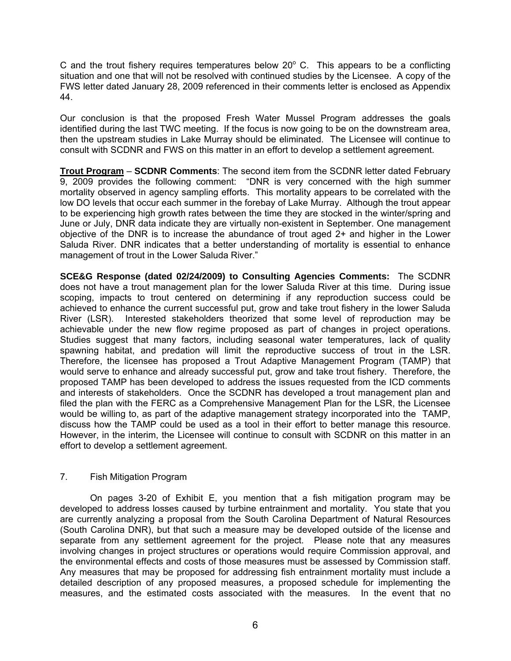C and the trout fishery requires temperatures below  $20^{\circ}$  C. This appears to be a conflicting situation and one that will not be resolved with continued studies by the Licensee. A copy of the FWS letter dated January 28, 2009 referenced in their comments letter is enclosed as Appendix 44.

Our conclusion is that the proposed Fresh Water Mussel Program addresses the goals identified during the last TWC meeting. If the focus is now going to be on the downstream area, then the upstream studies in Lake Murray should be eliminated. The Licensee will continue to consult with SCDNR and FWS on this matter in an effort to develop a settlement agreement.

**Trout Program** – **SCDNR Comments**: The second item from the SCDNR letter dated February 9, 2009 provides the following comment: "DNR is very concerned with the high summer mortality observed in agency sampling efforts. This mortality appears to be correlated with the low DO levels that occur each summer in the forebay of Lake Murray. Although the trout appear to be experiencing high growth rates between the time they are stocked in the winter/spring and June or July, DNR data indicate they are virtually non-existent in September. One management objective of the DNR is to increase the abundance of trout aged 2+ and higher in the Lower Saluda River. DNR indicates that a better understanding of mortality is essential to enhance management of trout in the Lower Saluda River."

**SCE&G Response (dated 02/24/2009) to Consulting Agencies Comments:** The SCDNR does not have a trout management plan for the lower Saluda River at this time. During issue scoping, impacts to trout centered on determining if any reproduction success could be achieved to enhance the current successful put, grow and take trout fishery in the lower Saluda River (LSR). Interested stakeholders theorized that some level of reproduction may be achievable under the new flow regime proposed as part of changes in project operations. Studies suggest that many factors, including seasonal water temperatures, lack of quality spawning habitat, and predation will limit the reproductive success of trout in the LSR. Therefore, the licensee has proposed a Trout Adaptive Management Program (TAMP) that would serve to enhance and already successful put, grow and take trout fishery. Therefore, the proposed TAMP has been developed to address the issues requested from the ICD comments and interests of stakeholders. Once the SCDNR has developed a trout management plan and filed the plan with the FERC as a Comprehensive Management Plan for the LSR, the Licensee would be willing to, as part of the adaptive management strategy incorporated into the TAMP, discuss how the TAMP could be used as a tool in their effort to better manage this resource. However, in the interim, the Licensee will continue to consult with SCDNR on this matter in an effort to develop a settlement agreement.

# 7. Fish Mitigation Program

On pages 3-20 of Exhibit E, you mention that a fish mitigation program may be developed to address losses caused by turbine entrainment and mortality. You state that you are currently analyzing a proposal from the South Carolina Department of Natural Resources (South Carolina DNR), but that such a measure may be developed outside of the license and separate from any settlement agreement for the project. Please note that any measures involving changes in project structures or operations would require Commission approval, and the environmental effects and costs of those measures must be assessed by Commission staff. Any measures that may be proposed for addressing fish entrainment mortality must include a detailed description of any proposed measures, a proposed schedule for implementing the measures, and the estimated costs associated with the measures. In the event that no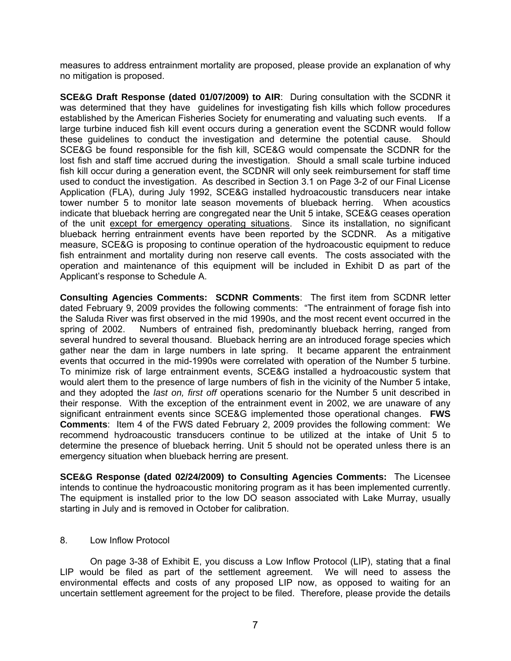measures to address entrainment mortality are proposed, please provide an explanation of why no mitigation is proposed.

**SCE&G Draft Response (dated 01/07/2009) to AIR**: During consultation with the SCDNR it was determined that they have guidelines for investigating fish kills which follow procedures established by the American Fisheries Society for enumerating and valuating such events. If a large turbine induced fish kill event occurs during a generation event the SCDNR would follow these guidelines to conduct the investigation and determine the potential cause. Should SCE&G be found responsible for the fish kill, SCE&G would compensate the SCDNR for the lost fish and staff time accrued during the investigation. Should a small scale turbine induced fish kill occur during a generation event, the SCDNR will only seek reimbursement for staff time used to conduct the investigation. As described in Section 3.1 on Page 3-2 of our Final License Application (FLA), during July 1992, SCE&G installed hydroacoustic transducers near intake tower number 5 to monitor late season movements of blueback herring. When acoustics indicate that blueback herring are congregated near the Unit 5 intake, SCE&G ceases operation of the unit except for emergency operating situations. Since its installation, no significant blueback herring entrainment events have been reported by the SCDNR. As a mitigative measure, SCE&G is proposing to continue operation of the hydroacoustic equipment to reduce fish entrainment and mortality during non reserve call events. The costs associated with the operation and maintenance of this equipment will be included in Exhibit D as part of the Applicant's response to Schedule A.

**Consulting Agencies Comments: SCDNR Comments**: The first item from SCDNR letter dated February 9, 2009 provides the following comments: "The entrainment of forage fish into the Saluda River was first observed in the mid 1990s, and the most recent event occurred in the spring of 2002. Numbers of entrained fish, predominantly blueback herring, ranged from several hundred to several thousand. Blueback herring are an introduced forage species which gather near the dam in large numbers in late spring. It became apparent the entrainment events that occurred in the mid-1990s were correlated with operation of the Number 5 turbine. To minimize risk of large entrainment events, SCE&G installed a hydroacoustic system that would alert them to the presence of large numbers of fish in the vicinity of the Number 5 intake, and they adopted the *last on, first off* operations scenario for the Number 5 unit described in their response. With the exception of the entrainment event in 2002, we are unaware of any significant entrainment events since SCE&G implemented those operational changes. **FWS Comments**: Item 4 of the FWS dated February 2, 2009 provides the following comment: We recommend hydroacoustic transducers continue to be utilized at the intake of Unit 5 to determine the presence of blueback herring. Unit 5 should not be operated unless there is an emergency situation when blueback herring are present.

**SCE&G Response (dated 02/24/2009) to Consulting Agencies Comments:** The Licensee intends to continue the hydroacoustic monitoring program as it has been implemented currently. The equipment is installed prior to the low DO season associated with Lake Murray, usually starting in July and is removed in October for calibration.

#### 8. Low Inflow Protocol

On page 3-38 of Exhibit E, you discuss a Low Inflow Protocol (LIP), stating that a final LIP would be filed as part of the settlement agreement. We will need to assess the environmental effects and costs of any proposed LIP now, as opposed to waiting for an uncertain settlement agreement for the project to be filed. Therefore, please provide the details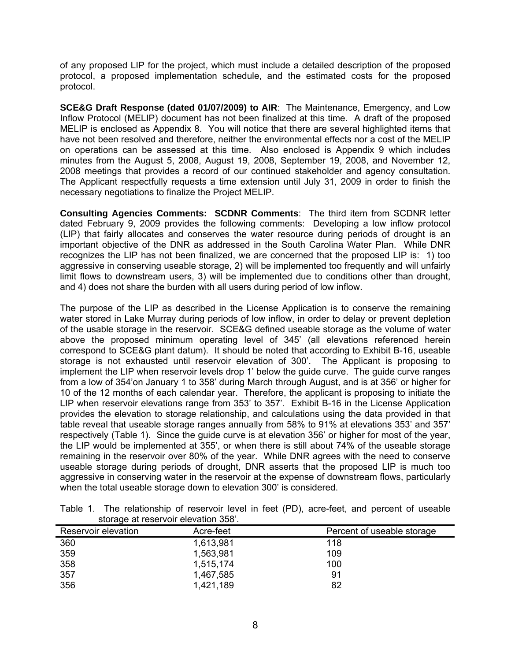of any proposed LIP for the project, which must include a detailed description of the proposed protocol, a proposed implementation schedule, and the estimated costs for the proposed protocol.

**SCE&G Draft Response (dated 01/07/2009) to AIR**: The Maintenance, Emergency, and Low Inflow Protocol (MELIP) document has not been finalized at this time. A draft of the proposed MELIP is enclosed as Appendix 8. You will notice that there are several highlighted items that have not been resolved and therefore, neither the environmental effects nor a cost of the MELIP on operations can be assessed at this time. Also enclosed is Appendix 9 which includes minutes from the August 5, 2008, August 19, 2008, September 19, 2008, and November 12, 2008 meetings that provides a record of our continued stakeholder and agency consultation. The Applicant respectfully requests a time extension until July 31, 2009 in order to finish the necessary negotiations to finalize the Project MELIP.

**Consulting Agencies Comments: SCDNR Comments**: The third item from SCDNR letter dated February 9, 2009 provides the following comments: Developing a low inflow protocol (LIP) that fairly allocates and conserves the water resource during periods of drought is an important objective of the DNR as addressed in the South Carolina Water Plan. While DNR recognizes the LIP has not been finalized, we are concerned that the proposed LIP is: 1) too aggressive in conserving useable storage, 2) will be implemented too frequently and will unfairly limit flows to downstream users, 3) will be implemented due to conditions other than drought, and 4) does not share the burden with all users during period of low inflow.

The purpose of the LIP as described in the License Application is to conserve the remaining water stored in Lake Murray during periods of low inflow, in order to delay or prevent depletion of the usable storage in the reservoir. SCE&G defined useable storage as the volume of water above the proposed minimum operating level of 345' (all elevations referenced herein correspond to SCE&G plant datum). It should be noted that according to Exhibit B-16, useable storage is not exhausted until reservoir elevation of 300'. The Applicant is proposing to implement the LIP when reservoir levels drop 1' below the guide curve. The guide curve ranges from a low of 354'on January 1 to 358' during March through August, and is at 356' or higher for 10 of the 12 months of each calendar year. Therefore, the applicant is proposing to initiate the LIP when reservoir elevations range from 353' to 357'. Exhibit B-16 in the License Application provides the elevation to storage relationship, and calculations using the data provided in that table reveal that useable storage ranges annually from 58% to 91% at elevations 353' and 357' respectively (Table 1). Since the guide curve is at elevation 356' or higher for most of the year, the LIP would be implemented at 355', or when there is still about 74% of the useable storage remaining in the reservoir over 80% of the year. While DNR agrees with the need to conserve useable storage during periods of drought, DNR asserts that the proposed LIP is much too aggressive in conserving water in the reservoir at the expense of downstream flows, particularly when the total useable storage down to elevation 300' is considered.

| Reservoir elevation | Acre-feet | Percent of useable storage |
|---------------------|-----------|----------------------------|
| 360                 | 1,613,981 | 118                        |
| 359                 | 1,563,981 | 109                        |
| 358                 | 1,515,174 | 100                        |
| 357                 | 1,467,585 | 91                         |
| 356                 | 1,421,189 | 82                         |

Table 1. The relationship of reservoir level in feet (PD), acre-feet, and percent of useable storage at reservoir elevation 358'.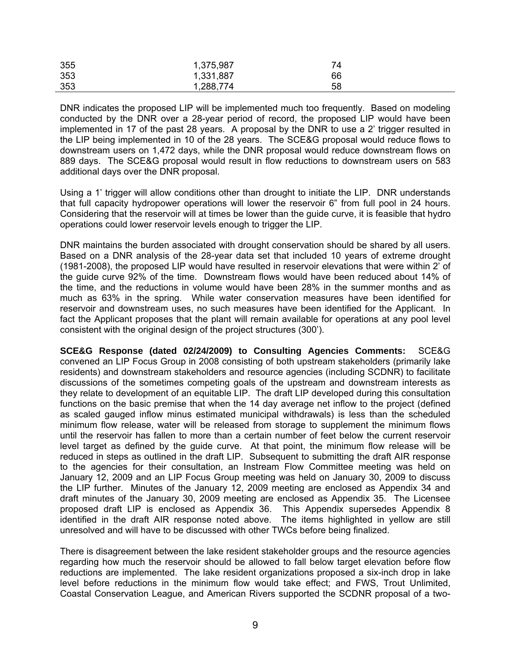| 355 | 1,375,987 | 74 |
|-----|-----------|----|
| 353 | 1,331,887 | 66 |
| 353 | 1,288,774 | 58 |

DNR indicates the proposed LIP will be implemented much too frequently. Based on modeling conducted by the DNR over a 28-year period of record, the proposed LIP would have been implemented in 17 of the past 28 years. A proposal by the DNR to use a 2' trigger resulted in the LIP being implemented in 10 of the 28 years. The SCE&G proposal would reduce flows to downstream users on 1,472 days, while the DNR proposal would reduce downstream flows on 889 days. The SCE&G proposal would result in flow reductions to downstream users on 583 additional days over the DNR proposal.

Using a 1' trigger will allow conditions other than drought to initiate the LIP. DNR understands that full capacity hydropower operations will lower the reservoir 6" from full pool in 24 hours. Considering that the reservoir will at times be lower than the guide curve, it is feasible that hydro operations could lower reservoir levels enough to trigger the LIP.

DNR maintains the burden associated with drought conservation should be shared by all users. Based on a DNR analysis of the 28-year data set that included 10 years of extreme drought (1981-2008), the proposed LIP would have resulted in reservoir elevations that were within 2' of the guide curve 92% of the time. Downstream flows would have been reduced about 14% of the time, and the reductions in volume would have been 28% in the summer months and as much as 63% in the spring. While water conservation measures have been identified for reservoir and downstream uses, no such measures have been identified for the Applicant. In fact the Applicant proposes that the plant will remain available for operations at any pool level consistent with the original design of the project structures (300').

**SCE&G Response (dated 02/24/2009) to Consulting Agencies Comments:** SCE&G convened an LIP Focus Group in 2008 consisting of both upstream stakeholders (primarily lake residents) and downstream stakeholders and resource agencies (including SCDNR) to facilitate discussions of the sometimes competing goals of the upstream and downstream interests as they relate to development of an equitable LIP. The draft LIP developed during this consultation functions on the basic premise that when the 14 day average net inflow to the project (defined as scaled gauged inflow minus estimated municipal withdrawals) is less than the scheduled minimum flow release, water will be released from storage to supplement the minimum flows until the reservoir has fallen to more than a certain number of feet below the current reservoir level target as defined by the guide curve. At that point, the minimum flow release will be reduced in steps as outlined in the draft LIP. Subsequent to submitting the draft AIR response to the agencies for their consultation, an Instream Flow Committee meeting was held on January 12, 2009 and an LIP Focus Group meeting was held on January 30, 2009 to discuss the LIP further. Minutes of the January 12, 2009 meeting are enclosed as Appendix 34 and draft minutes of the January 30, 2009 meeting are enclosed as Appendix 35. The Licensee proposed draft LIP is enclosed as Appendix 36. This Appendix supersedes Appendix 8 identified in the draft AIR response noted above. The items highlighted in yellow are still unresolved and will have to be discussed with other TWCs before being finalized.

There is disagreement between the lake resident stakeholder groups and the resource agencies regarding how much the reservoir should be allowed to fall below target elevation before flow reductions are implemented. The lake resident organizations proposed a six-inch drop in lake level before reductions in the minimum flow would take effect; and FWS, Trout Unlimited, Coastal Conservation League, and American Rivers supported the SCDNR proposal of a two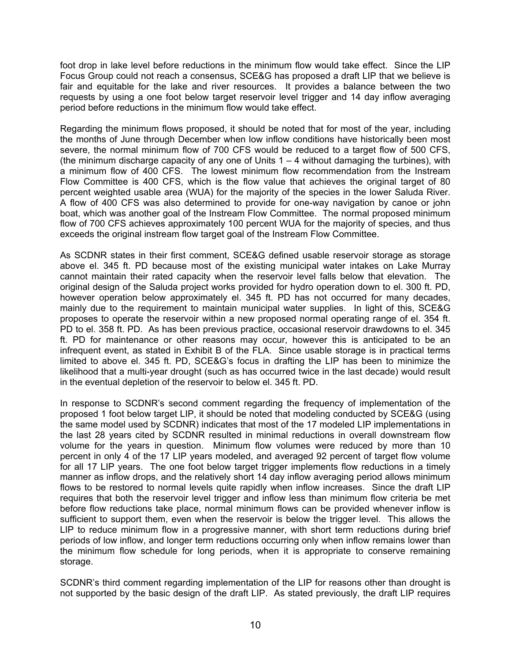foot drop in lake level before reductions in the minimum flow would take effect. Since the LIP Focus Group could not reach a consensus, SCE&G has proposed a draft LIP that we believe is fair and equitable for the lake and river resources. It provides a balance between the two requests by using a one foot below target reservoir level trigger and 14 day inflow averaging period before reductions in the minimum flow would take effect.

Regarding the minimum flows proposed, it should be noted that for most of the year, including the months of June through December when low inflow conditions have historically been most severe, the normal minimum flow of 700 CFS would be reduced to a target flow of 500 CFS, (the minimum discharge capacity of any one of Units  $1 - 4$  without damaging the turbines), with a minimum flow of 400 CFS. The lowest minimum flow recommendation from the Instream Flow Committee is 400 CFS, which is the flow value that achieves the original target of 80 percent weighted usable area (WUA) for the majority of the species in the lower Saluda River. A flow of 400 CFS was also determined to provide for one-way navigation by canoe or john boat, which was another goal of the Instream Flow Committee. The normal proposed minimum flow of 700 CFS achieves approximately 100 percent WUA for the majority of species, and thus exceeds the original instream flow target goal of the Instream Flow Committee.

As SCDNR states in their first comment, SCE&G defined usable reservoir storage as storage above el. 345 ft. PD because most of the existing municipal water intakes on Lake Murray cannot maintain their rated capacity when the reservoir level falls below that elevation. The original design of the Saluda project works provided for hydro operation down to el. 300 ft. PD, however operation below approximately el. 345 ft. PD has not occurred for many decades, mainly due to the requirement to maintain municipal water supplies. In light of this, SCE&G proposes to operate the reservoir within a new proposed normal operating range of el. 354 ft. PD to el. 358 ft. PD. As has been previous practice, occasional reservoir drawdowns to el. 345 ft. PD for maintenance or other reasons may occur, however this is anticipated to be an infrequent event, as stated in Exhibit B of the FLA. Since usable storage is in practical terms limited to above el. 345 ft. PD, SCE&G's focus in drafting the LIP has been to minimize the likelihood that a multi-year drought (such as has occurred twice in the last decade) would result in the eventual depletion of the reservoir to below el. 345 ft. PD.

In response to SCDNR's second comment regarding the frequency of implementation of the proposed 1 foot below target LIP, it should be noted that modeling conducted by SCE&G (using the same model used by SCDNR) indicates that most of the 17 modeled LIP implementations in the last 28 years cited by SCDNR resulted in minimal reductions in overall downstream flow volume for the years in question. Minimum flow volumes were reduced by more than 10 percent in only 4 of the 17 LIP years modeled, and averaged 92 percent of target flow volume for all 17 LIP years. The one foot below target trigger implements flow reductions in a timely manner as inflow drops, and the relatively short 14 day inflow averaging period allows minimum flows to be restored to normal levels quite rapidly when inflow increases. Since the draft LIP requires that both the reservoir level trigger and inflow less than minimum flow criteria be met before flow reductions take place, normal minimum flows can be provided whenever inflow is sufficient to support them, even when the reservoir is below the trigger level. This allows the LIP to reduce minimum flow in a progressive manner, with short term reductions during brief periods of low inflow, and longer term reductions occurring only when inflow remains lower than the minimum flow schedule for long periods, when it is appropriate to conserve remaining storage.

SCDNR's third comment regarding implementation of the LIP for reasons other than drought is not supported by the basic design of the draft LIP. As stated previously, the draft LIP requires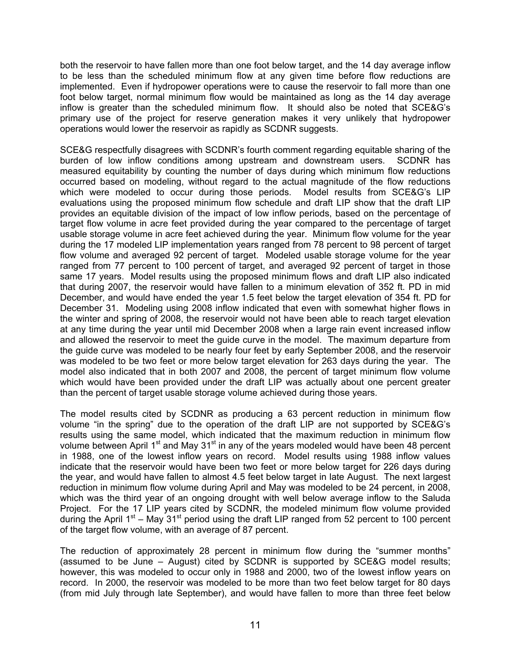both the reservoir to have fallen more than one foot below target, and the 14 day average inflow to be less than the scheduled minimum flow at any given time before flow reductions are implemented. Even if hydropower operations were to cause the reservoir to fall more than one foot below target, normal minimum flow would be maintained as long as the 14 day average inflow is greater than the scheduled minimum flow. It should also be noted that SCE&G's primary use of the project for reserve generation makes it very unlikely that hydropower operations would lower the reservoir as rapidly as SCDNR suggests.

SCE&G respectfully disagrees with SCDNR's fourth comment regarding equitable sharing of the burden of low inflow conditions among upstream and downstream users. SCDNR has measured equitability by counting the number of days during which minimum flow reductions occurred based on modeling, without regard to the actual magnitude of the flow reductions which were modeled to occur during those periods. Model results from SCE&G's LIP evaluations using the proposed minimum flow schedule and draft LIP show that the draft LIP provides an equitable division of the impact of low inflow periods, based on the percentage of target flow volume in acre feet provided during the year compared to the percentage of target usable storage volume in acre feet achieved during the year. Minimum flow volume for the year during the 17 modeled LIP implementation years ranged from 78 percent to 98 percent of target flow volume and averaged 92 percent of target. Modeled usable storage volume for the year ranged from 77 percent to 100 percent of target, and averaged 92 percent of target in those same 17 years. Model results using the proposed minimum flows and draft LIP also indicated that during 2007, the reservoir would have fallen to a minimum elevation of 352 ft. PD in mid December, and would have ended the year 1.5 feet below the target elevation of 354 ft. PD for December 31. Modeling using 2008 inflow indicated that even with somewhat higher flows in the winter and spring of 2008, the reservoir would not have been able to reach target elevation at any time during the year until mid December 2008 when a large rain event increased inflow and allowed the reservoir to meet the guide curve in the model. The maximum departure from the guide curve was modeled to be nearly four feet by early September 2008, and the reservoir was modeled to be two feet or more below target elevation for 263 days during the year. The model also indicated that in both 2007 and 2008, the percent of target minimum flow volume which would have been provided under the draft LIP was actually about one percent greater than the percent of target usable storage volume achieved during those years.

The model results cited by SCDNR as producing a 63 percent reduction in minimum flow volume "in the spring" due to the operation of the draft LIP are not supported by SCE&G's results using the same model, which indicated that the maximum reduction in minimum flow volume between April 1<sup>st</sup> and May 31<sup>st</sup> in any of the years modeled would have been 48 percent in 1988, one of the lowest inflow years on record. Model results using 1988 inflow values indicate that the reservoir would have been two feet or more below target for 226 days during the year, and would have fallen to almost 4.5 feet below target in late August. The next largest reduction in minimum flow volume during April and May was modeled to be 24 percent, in 2008, which was the third year of an ongoing drought with well below average inflow to the Saluda Project. For the 17 LIP years cited by SCDNR, the modeled minimum flow volume provided during the April  $1<sup>st</sup>$  – May 31<sup>st</sup> period using the draft LIP ranged from 52 percent to 100 percent of the target flow volume, with an average of 87 percent.

The reduction of approximately 28 percent in minimum flow during the "summer months" (assumed to be June – August) cited by SCDNR is supported by SCE&G model results; however, this was modeled to occur only in 1988 and 2000, two of the lowest inflow years on record. In 2000, the reservoir was modeled to be more than two feet below target for 80 days (from mid July through late September), and would have fallen to more than three feet below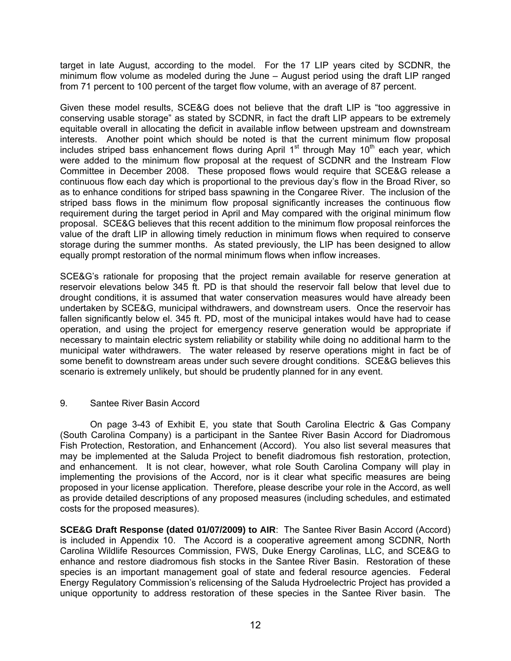target in late August, according to the model. For the 17 LIP years cited by SCDNR, the minimum flow volume as modeled during the June – August period using the draft LIP ranged from 71 percent to 100 percent of the target flow volume, with an average of 87 percent.

Given these model results, SCE&G does not believe that the draft LIP is "too aggressive in conserving usable storage" as stated by SCDNR, in fact the draft LIP appears to be extremely equitable overall in allocating the deficit in available inflow between upstream and downstream interests. Another point which should be noted is that the current minimum flow proposal includes striped bass enhancement flows during April  $1<sup>st</sup>$  through May  $10<sup>th</sup>$  each year, which were added to the minimum flow proposal at the request of SCDNR and the Instream Flow Committee in December 2008. These proposed flows would require that SCE&G release a continuous flow each day which is proportional to the previous day's flow in the Broad River, so as to enhance conditions for striped bass spawning in the Congaree River. The inclusion of the striped bass flows in the minimum flow proposal significantly increases the continuous flow requirement during the target period in April and May compared with the original minimum flow proposal. SCE&G believes that this recent addition to the minimum flow proposal reinforces the value of the draft LIP in allowing timely reduction in minimum flows when required to conserve storage during the summer months. As stated previously, the LIP has been designed to allow equally prompt restoration of the normal minimum flows when inflow increases.

SCE&G's rationale for proposing that the project remain available for reserve generation at reservoir elevations below 345 ft. PD is that should the reservoir fall below that level due to drought conditions, it is assumed that water conservation measures would have already been undertaken by SCE&G, municipal withdrawers, and downstream users. Once the reservoir has fallen significantly below el. 345 ft. PD, most of the municipal intakes would have had to cease operation, and using the project for emergency reserve generation would be appropriate if necessary to maintain electric system reliability or stability while doing no additional harm to the municipal water withdrawers. The water released by reserve operations might in fact be of some benefit to downstream areas under such severe drought conditions. SCE&G believes this scenario is extremely unlikely, but should be prudently planned for in any event.

# 9. Santee River Basin Accord

On page 3-43 of Exhibit E, you state that South Carolina Electric & Gas Company (South Carolina Company) is a participant in the Santee River Basin Accord for Diadromous Fish Protection, Restoration, and Enhancement (Accord). You also list several measures that may be implemented at the Saluda Project to benefit diadromous fish restoration, protection, and enhancement. It is not clear, however, what role South Carolina Company will play in implementing the provisions of the Accord, nor is it clear what specific measures are being proposed in your license application. Therefore, please describe your role in the Accord, as well as provide detailed descriptions of any proposed measures (including schedules, and estimated costs for the proposed measures).

**SCE&G Draft Response (dated 01/07/2009) to AIR**: The Santee River Basin Accord (Accord) is included in Appendix 10. The Accord is a cooperative agreement among SCDNR, North Carolina Wildlife Resources Commission, FWS, Duke Energy Carolinas, LLC, and SCE&G to enhance and restore diadromous fish stocks in the Santee River Basin. Restoration of these species is an important management goal of state and federal resource agencies. Federal Energy Regulatory Commission's relicensing of the Saluda Hydroelectric Project has provided a unique opportunity to address restoration of these species in the Santee River basin. The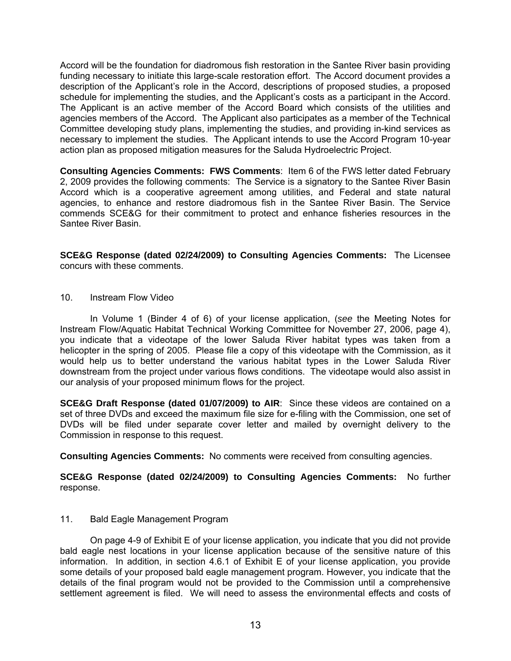Accord will be the foundation for diadromous fish restoration in the Santee River basin providing funding necessary to initiate this large-scale restoration effort. The Accord document provides a description of the Applicant's role in the Accord, descriptions of proposed studies, a proposed schedule for implementing the studies, and the Applicant's costs as a participant in the Accord. The Applicant is an active member of the Accord Board which consists of the utilities and agencies members of the Accord. The Applicant also participates as a member of the Technical Committee developing study plans, implementing the studies, and providing in-kind services as necessary to implement the studies. The Applicant intends to use the Accord Program 10-year action plan as proposed mitigation measures for the Saluda Hydroelectric Project.

**Consulting Agencies Comments: FWS Comments**: Item 6 of the FWS letter dated February 2, 2009 provides the following comments: The Service is a signatory to the Santee River Basin Accord which is a cooperative agreement among utilities, and Federal and state natural agencies, to enhance and restore diadromous fish in the Santee River Basin. The Service commends SCE&G for their commitment to protect and enhance fisheries resources in the Santee River Basin.

**SCE&G Response (dated 02/24/2009) to Consulting Agencies Comments:** The Licensee concurs with these comments.

10. Instream Flow Video

In Volume 1 (Binder 4 of 6) of your license application, (*see* the Meeting Notes for Instream Flow/Aquatic Habitat Technical Working Committee for November 27, 2006, page 4), you indicate that a videotape of the lower Saluda River habitat types was taken from a helicopter in the spring of 2005. Please file a copy of this videotape with the Commission, as it would help us to better understand the various habitat types in the Lower Saluda River downstream from the project under various flows conditions. The videotape would also assist in our analysis of your proposed minimum flows for the project.

**SCE&G Draft Response (dated 01/07/2009) to AIR**: Since these videos are contained on a set of three DVDs and exceed the maximum file size for e-filing with the Commission, one set of DVDs will be filed under separate cover letter and mailed by overnight delivery to the Commission in response to this request.

**Consulting Agencies Comments:** No comments were received from consulting agencies.

**SCE&G Response (dated 02/24/2009) to Consulting Agencies Comments:** No further response.

# 11. Bald Eagle Management Program

On page 4-9 of Exhibit E of your license application, you indicate that you did not provide bald eagle nest locations in your license application because of the sensitive nature of this information. In addition, in section 4.6.1 of Exhibit E of your license application, you provide some details of your proposed bald eagle management program. However, you indicate that the details of the final program would not be provided to the Commission until a comprehensive settlement agreement is filed. We will need to assess the environmental effects and costs of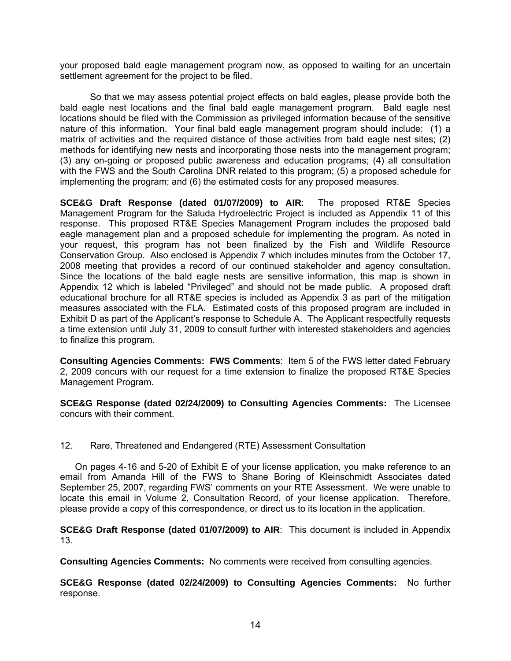your proposed bald eagle management program now, as opposed to waiting for an uncertain settlement agreement for the project to be filed.

So that we may assess potential project effects on bald eagles, please provide both the bald eagle nest locations and the final bald eagle management program. Bald eagle nest locations should be filed with the Commission as privileged information because of the sensitive nature of this information. Your final bald eagle management program should include: (1) a matrix of activities and the required distance of those activities from bald eagle nest sites; (2) methods for identifying new nests and incorporating those nests into the management program; (3) any on-going or proposed public awareness and education programs; (4) all consultation with the FWS and the South Carolina DNR related to this program; (5) a proposed schedule for implementing the program; and (6) the estimated costs for any proposed measures.

**SCE&G Draft Response (dated 01/07/2009) to AIR**: The proposed RT&E Species Management Program for the Saluda Hydroelectric Project is included as Appendix 11 of this response. This proposed RT&E Species Management Program includes the proposed bald eagle management plan and a proposed schedule for implementing the program. As noted in your request, this program has not been finalized by the Fish and Wildlife Resource Conservation Group. Also enclosed is Appendix 7 which includes minutes from the October 17, 2008 meeting that provides a record of our continued stakeholder and agency consultation. Since the locations of the bald eagle nests are sensitive information, this map is shown in Appendix 12 which is labeled "Privileged" and should not be made public. A proposed draft educational brochure for all RT&E species is included as Appendix 3 as part of the mitigation measures associated with the FLA. Estimated costs of this proposed program are included in Exhibit D as part of the Applicant's response to Schedule A. The Applicant respectfully requests a time extension until July 31, 2009 to consult further with interested stakeholders and agencies to finalize this program.

**Consulting Agencies Comments: FWS Comments**: Item 5 of the FWS letter dated February 2, 2009 concurs with our request for a time extension to finalize the proposed RT&E Species Management Program.

**SCE&G Response (dated 02/24/2009) to Consulting Agencies Comments:** The Licensee concurs with their comment.

12. Rare, Threatened and Endangered (RTE) Assessment Consultation

On pages 4-16 and 5-20 of Exhibit E of your license application, you make reference to an email from Amanda Hill of the FWS to Shane Boring of Kleinschmidt Associates dated September 25, 2007, regarding FWS' comments on your RTE Assessment. We were unable to locate this email in Volume 2, Consultation Record, of your license application. Therefore, please provide a copy of this correspondence, or direct us to its location in the application.

**SCE&G Draft Response (dated 01/07/2009) to AIR**: This document is included in Appendix 13.

**Consulting Agencies Comments:** No comments were received from consulting agencies.

**SCE&G Response (dated 02/24/2009) to Consulting Agencies Comments:** No further response.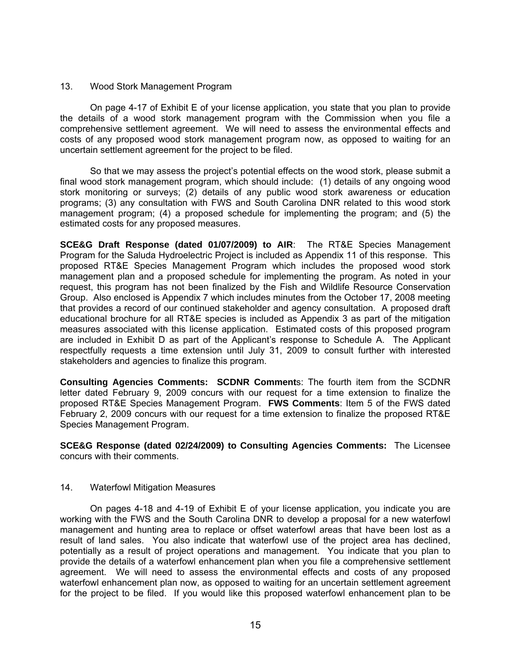#### 13. Wood Stork Management Program

On page 4-17 of Exhibit E of your license application, you state that you plan to provide the details of a wood stork management program with the Commission when you file a comprehensive settlement agreement. We will need to assess the environmental effects and costs of any proposed wood stork management program now, as opposed to waiting for an uncertain settlement agreement for the project to be filed.

So that we may assess the project's potential effects on the wood stork, please submit a final wood stork management program, which should include: (1) details of any ongoing wood stork monitoring or surveys; (2) details of any public wood stork awareness or education programs; (3) any consultation with FWS and South Carolina DNR related to this wood stork management program; (4) a proposed schedule for implementing the program; and (5) the estimated costs for any proposed measures.

**SCE&G Draft Response (dated 01/07/2009) to AIR**: The RT&E Species Management Program for the Saluda Hydroelectric Project is included as Appendix 11 of this response. This proposed RT&E Species Management Program which includes the proposed wood stork management plan and a proposed schedule for implementing the program. As noted in your request, this program has not been finalized by the Fish and Wildlife Resource Conservation Group. Also enclosed is Appendix 7 which includes minutes from the October 17, 2008 meeting that provides a record of our continued stakeholder and agency consultation. A proposed draft educational brochure for all RT&E species is included as Appendix 3 as part of the mitigation measures associated with this license application. Estimated costs of this proposed program are included in Exhibit D as part of the Applicant's response to Schedule A. The Applicant respectfully requests a time extension until July 31, 2009 to consult further with interested stakeholders and agencies to finalize this program.

**Consulting Agencies Comments: SCDNR Comment**s: The fourth item from the SCDNR letter dated February 9, 2009 concurs with our request for a time extension to finalize the proposed RT&E Species Management Program. **FWS Comments**: Item 5 of the FWS dated February 2, 2009 concurs with our request for a time extension to finalize the proposed RT&E Species Management Program.

**SCE&G Response (dated 02/24/2009) to Consulting Agencies Comments:** The Licensee concurs with their comments.

# 14. Waterfowl Mitigation Measures

On pages 4-18 and 4-19 of Exhibit E of your license application, you indicate you are working with the FWS and the South Carolina DNR to develop a proposal for a new waterfowl management and hunting area to replace or offset waterfowl areas that have been lost as a result of land sales. You also indicate that waterfowl use of the project area has declined, potentially as a result of project operations and management. You indicate that you plan to provide the details of a waterfowl enhancement plan when you file a comprehensive settlement agreement. We will need to assess the environmental effects and costs of any proposed waterfowl enhancement plan now, as opposed to waiting for an uncertain settlement agreement for the project to be filed. If you would like this proposed waterfowl enhancement plan to be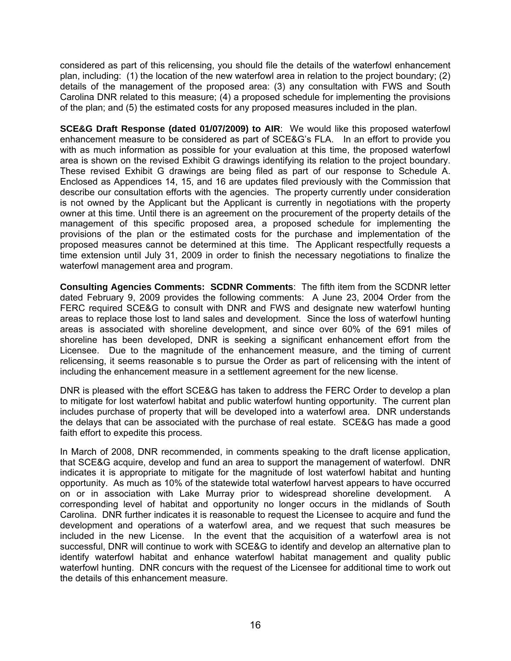considered as part of this relicensing, you should file the details of the waterfowl enhancement plan, including: (1) the location of the new waterfowl area in relation to the project boundary; (2) details of the management of the proposed area: (3) any consultation with FWS and South Carolina DNR related to this measure; (4) a proposed schedule for implementing the provisions of the plan; and (5) the estimated costs for any proposed measures included in the plan.

**SCE&G Draft Response (dated 01/07/2009) to AIR**: We would like this proposed waterfowl enhancement measure to be considered as part of SCE&G's FLA. In an effort to provide you with as much information as possible for your evaluation at this time, the proposed waterfowl area is shown on the revised Exhibit G drawings identifying its relation to the project boundary. These revised Exhibit G drawings are being filed as part of our response to Schedule A. Enclosed as Appendices 14, 15, and 16 are updates filed previously with the Commission that describe our consultation efforts with the agencies. The property currently under consideration is not owned by the Applicant but the Applicant is currently in negotiations with the property owner at this time. Until there is an agreement on the procurement of the property details of the management of this specific proposed area, a proposed schedule for implementing the provisions of the plan or the estimated costs for the purchase and implementation of the proposed measures cannot be determined at this time. The Applicant respectfully requests a time extension until July 31, 2009 in order to finish the necessary negotiations to finalize the waterfowl management area and program.

**Consulting Agencies Comments: SCDNR Comments**: The fifth item from the SCDNR letter dated February 9, 2009 provides the following comments: A June 23, 2004 Order from the FERC required SCE&G to consult with DNR and FWS and designate new waterfowl hunting areas to replace those lost to land sales and development. Since the loss of waterfowl hunting areas is associated with shoreline development, and since over 60% of the 691 miles of shoreline has been developed, DNR is seeking a significant enhancement effort from the Licensee. Due to the magnitude of the enhancement measure, and the timing of current relicensing, it seems reasonable s to pursue the Order as part of relicensing with the intent of including the enhancement measure in a settlement agreement for the new license.

DNR is pleased with the effort SCE&G has taken to address the FERC Order to develop a plan to mitigate for lost waterfowl habitat and public waterfowl hunting opportunity. The current plan includes purchase of property that will be developed into a waterfowl area. DNR understands the delays that can be associated with the purchase of real estate. SCE&G has made a good faith effort to expedite this process.

In March of 2008, DNR recommended, in comments speaking to the draft license application, that SCE&G acquire, develop and fund an area to support the management of waterfowl. DNR indicates it is appropriate to mitigate for the magnitude of lost waterfowl habitat and hunting opportunity. As much as 10% of the statewide total waterfowl harvest appears to have occurred on or in association with Lake Murray prior to widespread shoreline development. A corresponding level of habitat and opportunity no longer occurs in the midlands of South Carolina. DNR further indicates it is reasonable to request the Licensee to acquire and fund the development and operations of a waterfowl area, and we request that such measures be included in the new License. In the event that the acquisition of a waterfowl area is not successful, DNR will continue to work with SCE&G to identify and develop an alternative plan to identify waterfowl habitat and enhance waterfowl habitat management and quality public waterfowl hunting. DNR concurs with the request of the Licensee for additional time to work out the details of this enhancement measure.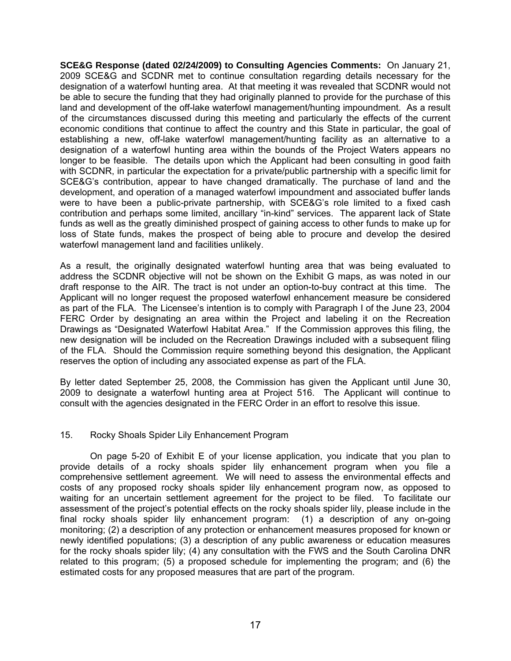**SCE&G Response (dated 02/24/2009) to Consulting Agencies Comments:** On January 21, 2009 SCE&G and SCDNR met to continue consultation regarding details necessary for the designation of a waterfowl hunting area. At that meeting it was revealed that SCDNR would not be able to secure the funding that they had originally planned to provide for the purchase of this land and development of the off-lake waterfowl management/hunting impoundment. As a result of the circumstances discussed during this meeting and particularly the effects of the current economic conditions that continue to affect the country and this State in particular, the goal of establishing a new, off-lake waterfowl management/hunting facility as an alternative to a designation of a waterfowl hunting area within the bounds of the Project Waters appears no longer to be feasible. The details upon which the Applicant had been consulting in good faith with SCDNR, in particular the expectation for a private/public partnership with a specific limit for SCE&G's contribution, appear to have changed dramatically. The purchase of land and the development, and operation of a managed waterfowl impoundment and associated buffer lands were to have been a public-private partnership, with SCE&G's role limited to a fixed cash contribution and perhaps some limited, ancillary "in-kind" services. The apparent lack of State funds as well as the greatly diminished prospect of gaining access to other funds to make up for loss of State funds, makes the prospect of being able to procure and develop the desired waterfowl management land and facilities unlikely.

As a result, the originally designated waterfowl hunting area that was being evaluated to address the SCDNR objective will not be shown on the Exhibit G maps, as was noted in our draft response to the AIR. The tract is not under an option-to-buy contract at this time. The Applicant will no longer request the proposed waterfowl enhancement measure be considered as part of the FLA. The Licensee's intention is to comply with Paragraph I of the June 23, 2004 FERC Order by designating an area within the Project and labeling it on the Recreation Drawings as "Designated Waterfowl Habitat Area." If the Commission approves this filing, the new designation will be included on the Recreation Drawings included with a subsequent filing of the FLA. Should the Commission require something beyond this designation, the Applicant reserves the option of including any associated expense as part of the FLA.

By letter dated September 25, 2008, the Commission has given the Applicant until June 30, 2009 to designate a waterfowl hunting area at Project 516. The Applicant will continue to consult with the agencies designated in the FERC Order in an effort to resolve this issue.

#### 15. Rocky Shoals Spider Lily Enhancement Program

On page 5-20 of Exhibit E of your license application, you indicate that you plan to provide details of a rocky shoals spider lily enhancement program when you file a comprehensive settlement agreement. We will need to assess the environmental effects and costs of any proposed rocky shoals spider lily enhancement program now, as opposed to waiting for an uncertain settlement agreement for the project to be filed. To facilitate our assessment of the project's potential effects on the rocky shoals spider lily, please include in the final rocky shoals spider lily enhancement program: (1) a description of any on-going monitoring; (2) a description of any protection or enhancement measures proposed for known or newly identified populations; (3) a description of any public awareness or education measures for the rocky shoals spider lily; (4) any consultation with the FWS and the South Carolina DNR related to this program; (5) a proposed schedule for implementing the program; and (6) the estimated costs for any proposed measures that are part of the program.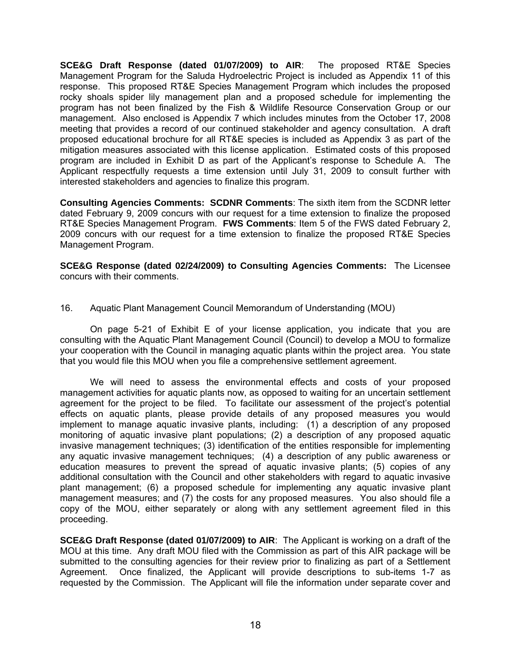**SCE&G Draft Response (dated 01/07/2009) to AIR**: The proposed RT&E Species Management Program for the Saluda Hydroelectric Project is included as Appendix 11 of this response. This proposed RT&E Species Management Program which includes the proposed rocky shoals spider lily management plan and a proposed schedule for implementing the program has not been finalized by the Fish & Wildlife Resource Conservation Group or our management. Also enclosed is Appendix 7 which includes minutes from the October 17, 2008 meeting that provides a record of our continued stakeholder and agency consultation. A draft proposed educational brochure for all RT&E species is included as Appendix 3 as part of the mitigation measures associated with this license application. Estimated costs of this proposed program are included in Exhibit D as part of the Applicant's response to Schedule A. The Applicant respectfully requests a time extension until July 31, 2009 to consult further with interested stakeholders and agencies to finalize this program.

**Consulting Agencies Comments: SCDNR Comments**: The sixth item from the SCDNR letter dated February 9, 2009 concurs with our request for a time extension to finalize the proposed RT&E Species Management Program. **FWS Comments**: Item 5 of the FWS dated February 2, 2009 concurs with our request for a time extension to finalize the proposed RT&E Species Management Program.

**SCE&G Response (dated 02/24/2009) to Consulting Agencies Comments:** The Licensee concurs with their comments.

16. Aquatic Plant Management Council Memorandum of Understanding (MOU)

On page 5-21 of Exhibit E of your license application, you indicate that you are consulting with the Aquatic Plant Management Council (Council) to develop a MOU to formalize your cooperation with the Council in managing aquatic plants within the project area. You state that you would file this MOU when you file a comprehensive settlement agreement.

We will need to assess the environmental effects and costs of your proposed management activities for aquatic plants now, as opposed to waiting for an uncertain settlement agreement for the project to be filed. To facilitate our assessment of the project's potential effects on aquatic plants, please provide details of any proposed measures you would implement to manage aquatic invasive plants, including: (1) a description of any proposed monitoring of aquatic invasive plant populations; (2) a description of any proposed aquatic invasive management techniques; (3) identification of the entities responsible for implementing any aquatic invasive management techniques; (4) a description of any public awareness or education measures to prevent the spread of aquatic invasive plants; (5) copies of any additional consultation with the Council and other stakeholders with regard to aquatic invasive plant management; (6) a proposed schedule for implementing any aquatic invasive plant management measures; and (7) the costs for any proposed measures. You also should file a copy of the MOU, either separately or along with any settlement agreement filed in this proceeding.

**SCE&G Draft Response (dated 01/07/2009) to AIR**: The Applicant is working on a draft of the MOU at this time. Any draft MOU filed with the Commission as part of this AIR package will be submitted to the consulting agencies for their review prior to finalizing as part of a Settlement Agreement. Once finalized, the Applicant will provide descriptions to sub-items 1-7 as requested by the Commission. The Applicant will file the information under separate cover and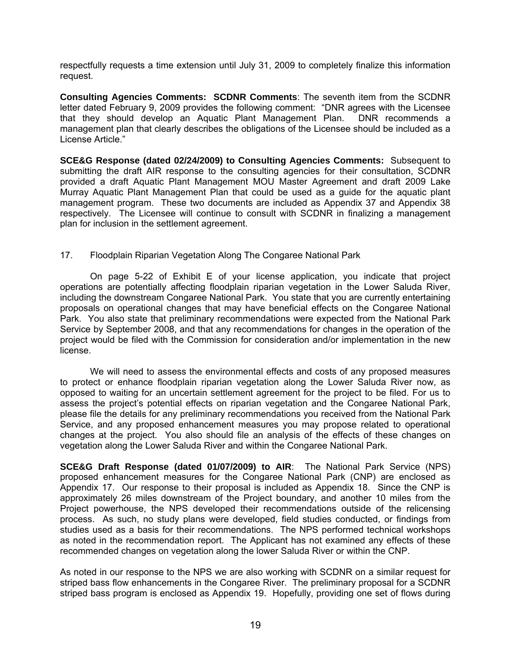respectfully requests a time extension until July 31, 2009 to completely finalize this information request.

**Consulting Agencies Comments: SCDNR Comments**: The seventh item from the SCDNR letter dated February 9, 2009 provides the following comment: "DNR agrees with the Licensee that they should develop an Aquatic Plant Management Plan. DNR recommends a management plan that clearly describes the obligations of the Licensee should be included as a License Article."

**SCE&G Response (dated 02/24/2009) to Consulting Agencies Comments:** Subsequent to submitting the draft AIR response to the consulting agencies for their consultation, SCDNR provided a draft Aquatic Plant Management MOU Master Agreement and draft 2009 Lake Murray Aquatic Plant Management Plan that could be used as a guide for the aquatic plant management program. These two documents are included as Appendix 37 and Appendix 38 respectively. The Licensee will continue to consult with SCDNR in finalizing a management plan for inclusion in the settlement agreement.

# 17. Floodplain Riparian Vegetation Along The Congaree National Park

On page 5-22 of Exhibit E of your license application, you indicate that project operations are potentially affecting floodplain riparian vegetation in the Lower Saluda River, including the downstream Congaree National Park. You state that you are currently entertaining proposals on operational changes that may have beneficial effects on the Congaree National Park. You also state that preliminary recommendations were expected from the National Park Service by September 2008, and that any recommendations for changes in the operation of the project would be filed with the Commission for consideration and/or implementation in the new license.

We will need to assess the environmental effects and costs of any proposed measures to protect or enhance floodplain riparian vegetation along the Lower Saluda River now, as opposed to waiting for an uncertain settlement agreement for the project to be filed. For us to assess the project's potential effects on riparian vegetation and the Congaree National Park, please file the details for any preliminary recommendations you received from the National Park Service, and any proposed enhancement measures you may propose related to operational changes at the project. You also should file an analysis of the effects of these changes on vegetation along the Lower Saluda River and within the Congaree National Park.

**SCE&G Draft Response (dated 01/07/2009) to AIR**: The National Park Service (NPS) proposed enhancement measures for the Congaree National Park (CNP) are enclosed as Appendix 17. Our response to their proposal is included as Appendix 18. Since the CNP is approximately 26 miles downstream of the Project boundary, and another 10 miles from the Project powerhouse, the NPS developed their recommendations outside of the relicensing process. As such, no study plans were developed, field studies conducted, or findings from studies used as a basis for their recommendations. The NPS performed technical workshops as noted in the recommendation report. The Applicant has not examined any effects of these recommended changes on vegetation along the lower Saluda River or within the CNP.

As noted in our response to the NPS we are also working with SCDNR on a similar request for striped bass flow enhancements in the Congaree River. The preliminary proposal for a SCDNR striped bass program is enclosed as Appendix 19. Hopefully, providing one set of flows during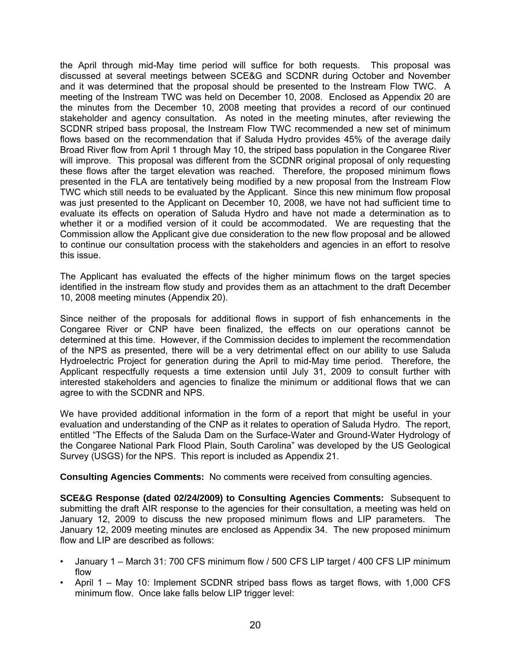the April through mid-May time period will suffice for both requests. This proposal was discussed at several meetings between SCE&G and SCDNR during October and November and it was determined that the proposal should be presented to the Instream Flow TWC. A meeting of the Instream TWC was held on December 10, 2008. Enclosed as Appendix 20 are the minutes from the December 10, 2008 meeting that provides a record of our continued stakeholder and agency consultation. As noted in the meeting minutes, after reviewing the SCDNR striped bass proposal, the Instream Flow TWC recommended a new set of minimum flows based on the recommendation that if Saluda Hydro provides 45% of the average daily Broad River flow from April 1 through May 10, the striped bass population in the Congaree River will improve. This proposal was different from the SCDNR original proposal of only requesting these flows after the target elevation was reached. Therefore, the proposed minimum flows presented in the FLA are tentatively being modified by a new proposal from the Instream Flow TWC which still needs to be evaluated by the Applicant. Since this new minimum flow proposal was just presented to the Applicant on December 10, 2008, we have not had sufficient time to evaluate its effects on operation of Saluda Hydro and have not made a determination as to whether it or a modified version of it could be accommodated. We are requesting that the Commission allow the Applicant give due consideration to the new flow proposal and be allowed to continue our consultation process with the stakeholders and agencies in an effort to resolve this issue.

The Applicant has evaluated the effects of the higher minimum flows on the target species identified in the instream flow study and provides them as an attachment to the draft December 10, 2008 meeting minutes (Appendix 20).

Since neither of the proposals for additional flows in support of fish enhancements in the Congaree River or CNP have been finalized, the effects on our operations cannot be determined at this time. However, if the Commission decides to implement the recommendation of the NPS as presented, there will be a very detrimental effect on our ability to use Saluda Hydroelectric Project for generation during the April to mid-May time period. Therefore, the Applicant respectfully requests a time extension until July 31, 2009 to consult further with interested stakeholders and agencies to finalize the minimum or additional flows that we can agree to with the SCDNR and NPS.

We have provided additional information in the form of a report that might be useful in your evaluation and understanding of the CNP as it relates to operation of Saluda Hydro. The report, entitled "The Effects of the Saluda Dam on the Surface-Water and Ground-Water Hydrology of the Congaree National Park Flood Plain, South Carolina" was developed by the US Geological Survey (USGS) for the NPS. This report is included as Appendix 21.

**Consulting Agencies Comments:** No comments were received from consulting agencies.

**SCE&G Response (dated 02/24/2009) to Consulting Agencies Comments:** Subsequent to submitting the draft AIR response to the agencies for their consultation, a meeting was held on January 12, 2009 to discuss the new proposed minimum flows and LIP parameters. The January 12, 2009 meeting minutes are enclosed as Appendix 34. The new proposed minimum flow and LIP are described as follows:

- January 1 March 31: 700 CFS minimum flow / 500 CFS LIP target / 400 CFS LIP minimum flow
- April 1 May 10: Implement SCDNR striped bass flows as target flows, with 1,000 CFS minimum flow. Once lake falls below LIP trigger level: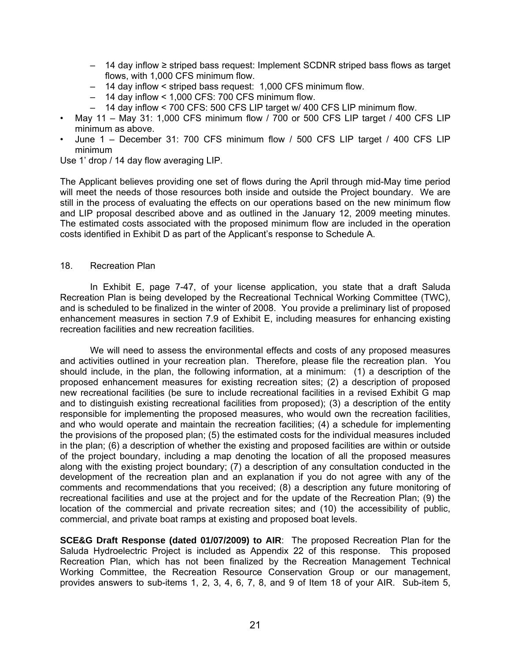- 14 day inflow ≥ striped bass request: Implement SCDNR striped bass flows as target flows, with 1,000 CFS minimum flow.
- 14 day inflow < striped bass request: 1,000 CFS minimum flow.
- 14 day inflow < 1,000 CFS: 700 CFS minimum flow.
- 14 day inflow < 700 CFS: 500 CFS LIP target w/ 400 CFS LIP minimum flow.
- May 11 May 31: 1,000 CFS minimum flow / 700 or 500 CFS LIP target / 400 CFS LIP minimum as above.
- June 1 December 31: 700 CFS minimum flow / 500 CFS LIP target / 400 CFS LIP minimum

Use 1' drop / 14 day flow averaging LIP.

The Applicant believes providing one set of flows during the April through mid-May time period will meet the needs of those resources both inside and outside the Project boundary. We are still in the process of evaluating the effects on our operations based on the new minimum flow and LIP proposal described above and as outlined in the January 12, 2009 meeting minutes. The estimated costs associated with the proposed minimum flow are included in the operation costs identified in Exhibit D as part of the Applicant's response to Schedule A.

#### 18. Recreation Plan

In Exhibit E, page 7-47, of your license application, you state that a draft Saluda Recreation Plan is being developed by the Recreational Technical Working Committee (TWC), and is scheduled to be finalized in the winter of 2008. You provide a preliminary list of proposed enhancement measures in section 7.9 of Exhibit E, including measures for enhancing existing recreation facilities and new recreation facilities.

We will need to assess the environmental effects and costs of any proposed measures and activities outlined in your recreation plan. Therefore, please file the recreation plan. You should include, in the plan, the following information, at a minimum: (1) a description of the proposed enhancement measures for existing recreation sites; (2) a description of proposed new recreational facilities (be sure to include recreational facilities in a revised Exhibit G map and to distinguish existing recreational facilities from proposed); (3) a description of the entity responsible for implementing the proposed measures, who would own the recreation facilities, and who would operate and maintain the recreation facilities; (4) a schedule for implementing the provisions of the proposed plan; (5) the estimated costs for the individual measures included in the plan; (6) a description of whether the existing and proposed facilities are within or outside of the project boundary, including a map denoting the location of all the proposed measures along with the existing project boundary; (7) a description of any consultation conducted in the development of the recreation plan and an explanation if you do not agree with any of the comments and recommendations that you received; (8) a description any future monitoring of recreational facilities and use at the project and for the update of the Recreation Plan; (9) the location of the commercial and private recreation sites; and (10) the accessibility of public, commercial, and private boat ramps at existing and proposed boat levels.

**SCE&G Draft Response (dated 01/07/2009) to AIR**: The proposed Recreation Plan for the Saluda Hydroelectric Project is included as Appendix 22 of this response. This proposed Recreation Plan, which has not been finalized by the Recreation Management Technical Working Committee, the Recreation Resource Conservation Group or our management, provides answers to sub-items 1, 2, 3, 4, 6, 7, 8, and 9 of Item 18 of your AIR. Sub-item 5,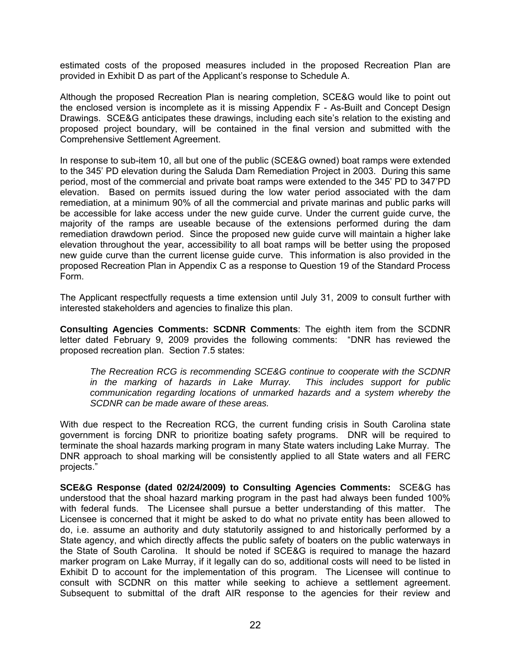estimated costs of the proposed measures included in the proposed Recreation Plan are provided in Exhibit D as part of the Applicant's response to Schedule A.

Although the proposed Recreation Plan is nearing completion, SCE&G would like to point out the enclosed version is incomplete as it is missing Appendix F - As-Built and Concept Design Drawings. SCE&G anticipates these drawings, including each site's relation to the existing and proposed project boundary, will be contained in the final version and submitted with the Comprehensive Settlement Agreement.

In response to sub-item 10, all but one of the public (SCE&G owned) boat ramps were extended to the 345' PD elevation during the Saluda Dam Remediation Project in 2003. During this same period, most of the commercial and private boat ramps were extended to the 345' PD to 347'PD elevation. Based on permits issued during the low water period associated with the dam remediation, at a minimum 90% of all the commercial and private marinas and public parks will be accessible for lake access under the new guide curve. Under the current guide curve, the majority of the ramps are useable because of the extensions performed during the dam remediation drawdown period. Since the proposed new guide curve will maintain a higher lake elevation throughout the year, accessibility to all boat ramps will be better using the proposed new guide curve than the current license guide curve. This information is also provided in the proposed Recreation Plan in Appendix C as a response to Question 19 of the Standard Process Form.

The Applicant respectfully requests a time extension until July 31, 2009 to consult further with interested stakeholders and agencies to finalize this plan.

**Consulting Agencies Comments: SCDNR Comments**: The eighth item from the SCDNR letter dated February 9, 2009 provides the following comments: "DNR has reviewed the proposed recreation plan. Section 7.5 states:

*The Recreation RCG is recommending SCE&G continue to cooperate with the SCDNR in the marking of hazards in Lake Murray. This includes support for public communication regarding locations of unmarked hazards and a system whereby the SCDNR can be made aware of these areas.* 

With due respect to the Recreation RCG, the current funding crisis in South Carolina state government is forcing DNR to prioritize boating safety programs. DNR will be required to terminate the shoal hazards marking program in many State waters including Lake Murray. The DNR approach to shoal marking will be consistently applied to all State waters and all FERC projects."

**SCE&G Response (dated 02/24/2009) to Consulting Agencies Comments:** SCE&G has understood that the shoal hazard marking program in the past had always been funded 100% with federal funds. The Licensee shall pursue a better understanding of this matter. The Licensee is concerned that it might be asked to do what no private entity has been allowed to do, i.e. assume an authority and duty statutorily assigned to and historically performed by a State agency, and which directly affects the public safety of boaters on the public waterways in the State of South Carolina. It should be noted if SCE&G is required to manage the hazard marker program on Lake Murray, if it legally can do so, additional costs will need to be listed in Exhibit D to account for the implementation of this program. The Licensee will continue to consult with SCDNR on this matter while seeking to achieve a settlement agreement. Subsequent to submittal of the draft AIR response to the agencies for their review and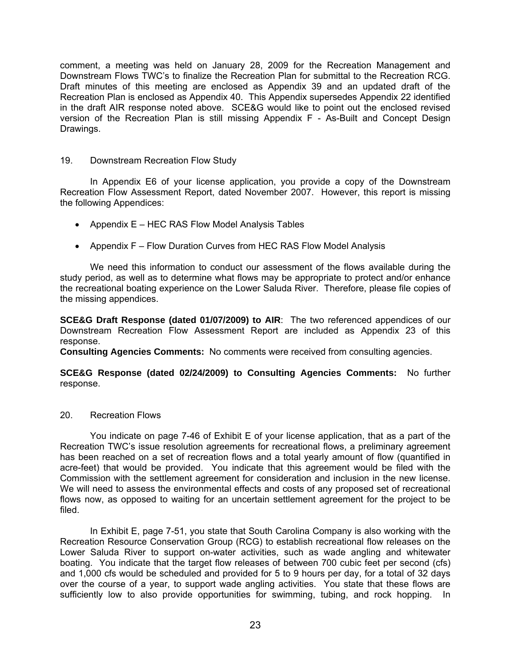comment, a meeting was held on January 28, 2009 for the Recreation Management and Downstream Flows TWC's to finalize the Recreation Plan for submittal to the Recreation RCG. Draft minutes of this meeting are enclosed as Appendix 39 and an updated draft of the Recreation Plan is enclosed as Appendix 40. This Appendix supersedes Appendix 22 identified in the draft AIR response noted above. SCE&G would like to point out the enclosed revised version of the Recreation Plan is still missing Appendix F - As-Built and Concept Design Drawings.

# 19. Downstream Recreation Flow Study

In Appendix E6 of your license application, you provide a copy of the Downstream Recreation Flow Assessment Report, dated November 2007. However, this report is missing the following Appendices:

- Appendix E HEC RAS Flow Model Analysis Tables
- Appendix F Flow Duration Curves from HEC RAS Flow Model Analysis

We need this information to conduct our assessment of the flows available during the study period, as well as to determine what flows may be appropriate to protect and/or enhance the recreational boating experience on the Lower Saluda River. Therefore, please file copies of the missing appendices.

**SCE&G Draft Response (dated 01/07/2009) to AIR**: The two referenced appendices of our Downstream Recreation Flow Assessment Report are included as Appendix 23 of this response.

**Consulting Agencies Comments:** No comments were received from consulting agencies.

**SCE&G Response (dated 02/24/2009) to Consulting Agencies Comments:** No further response.

#### 20. Recreation Flows

You indicate on page 7-46 of Exhibit E of your license application, that as a part of the Recreation TWC's issue resolution agreements for recreational flows, a preliminary agreement has been reached on a set of recreation flows and a total yearly amount of flow (quantified in acre-feet) that would be provided. You indicate that this agreement would be filed with the Commission with the settlement agreement for consideration and inclusion in the new license. We will need to assess the environmental effects and costs of any proposed set of recreational flows now, as opposed to waiting for an uncertain settlement agreement for the project to be filed.

In Exhibit E, page 7-51, you state that South Carolina Company is also working with the Recreation Resource Conservation Group (RCG) to establish recreational flow releases on the Lower Saluda River to support on-water activities, such as wade angling and whitewater boating. You indicate that the target flow releases of between 700 cubic feet per second (cfs) and 1,000 cfs would be scheduled and provided for 5 to 9 hours per day, for a total of 32 days over the course of a year, to support wade angling activities. You state that these flows are sufficiently low to also provide opportunities for swimming, tubing, and rock hopping. In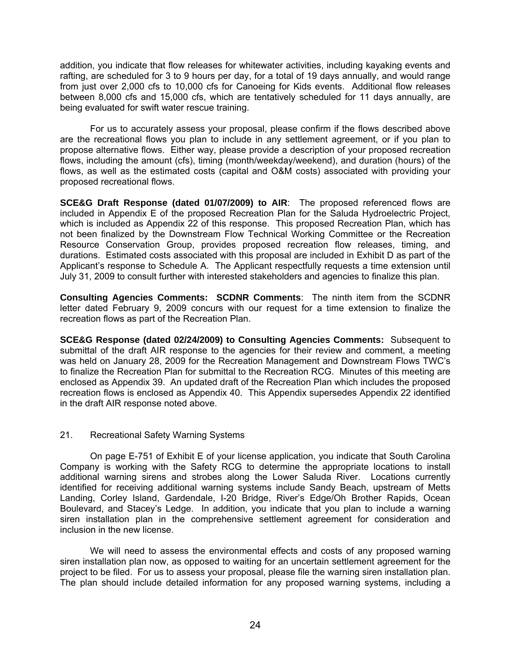addition, you indicate that flow releases for whitewater activities, including kayaking events and rafting, are scheduled for 3 to 9 hours per day, for a total of 19 days annually, and would range from just over 2,000 cfs to 10,000 cfs for Canoeing for Kids events. Additional flow releases between 8,000 cfs and 15,000 cfs, which are tentatively scheduled for 11 days annually, are being evaluated for swift water rescue training.

For us to accurately assess your proposal, please confirm if the flows described above are the recreational flows you plan to include in any settlement agreement, or if you plan to propose alternative flows. Either way, please provide a description of your proposed recreation flows, including the amount (cfs), timing (month/weekday/weekend), and duration (hours) of the flows, as well as the estimated costs (capital and O&M costs) associated with providing your proposed recreational flows.

**SCE&G Draft Response (dated 01/07/2009) to AIR**: The proposed referenced flows are included in Appendix E of the proposed Recreation Plan for the Saluda Hydroelectric Project, which is included as Appendix 22 of this response. This proposed Recreation Plan, which has not been finalized by the Downstream Flow Technical Working Committee or the Recreation Resource Conservation Group, provides proposed recreation flow releases, timing, and durations. Estimated costs associated with this proposal are included in Exhibit D as part of the Applicant's response to Schedule A. The Applicant respectfully requests a time extension until July 31, 2009 to consult further with interested stakeholders and agencies to finalize this plan.

**Consulting Agencies Comments: SCDNR Comments**: The ninth item from the SCDNR letter dated February 9, 2009 concurs with our request for a time extension to finalize the recreation flows as part of the Recreation Plan.

**SCE&G Response (dated 02/24/2009) to Consulting Agencies Comments:** Subsequent to submittal of the draft AIR response to the agencies for their review and comment, a meeting was held on January 28, 2009 for the Recreation Management and Downstream Flows TWC's to finalize the Recreation Plan for submittal to the Recreation RCG. Minutes of this meeting are enclosed as Appendix 39. An updated draft of the Recreation Plan which includes the proposed recreation flows is enclosed as Appendix 40. This Appendix supersedes Appendix 22 identified in the draft AIR response noted above.

#### 21. Recreational Safety Warning Systems

On page E-751 of Exhibit E of your license application, you indicate that South Carolina Company is working with the Safety RCG to determine the appropriate locations to install additional warning sirens and strobes along the Lower Saluda River. Locations currently identified for receiving additional warning systems include Sandy Beach, upstream of Metts Landing, Corley Island, Gardendale, I-20 Bridge, River's Edge/Oh Brother Rapids, Ocean Boulevard, and Stacey's Ledge. In addition, you indicate that you plan to include a warning siren installation plan in the comprehensive settlement agreement for consideration and inclusion in the new license.

We will need to assess the environmental effects and costs of any proposed warning siren installation plan now, as opposed to waiting for an uncertain settlement agreement for the project to be filed. For us to assess your proposal, please file the warning siren installation plan. The plan should include detailed information for any proposed warning systems, including a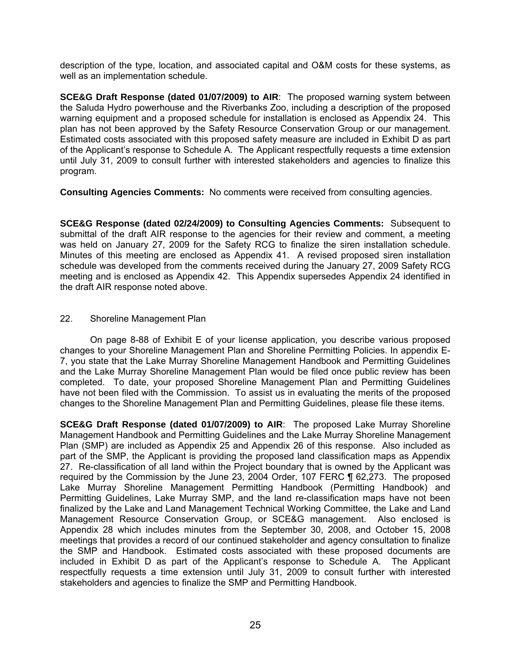description of the type, location, and associated capital and O&M costs for these systems, as well as an implementation schedule.

**SCE&G Draft Response (dated 01/07/2009) to AIR**: The proposed warning system between the Saluda Hydro powerhouse and the Riverbanks Zoo, including a description of the proposed warning equipment and a proposed schedule for installation is enclosed as Appendix 24. This plan has not been approved by the Safety Resource Conservation Group or our management. Estimated costs associated with this proposed safety measure are included in Exhibit D as part of the Applicant's response to Schedule A. The Applicant respectfully requests a time extension until July 31, 2009 to consult further with interested stakeholders and agencies to finalize this program.

**Consulting Agencies Comments:** No comments were received from consulting agencies.

**SCE&G Response (dated 02/24/2009) to Consulting Agencies Comments:** Subsequent to submittal of the draft AIR response to the agencies for their review and comment, a meeting was held on January 27, 2009 for the Safety RCG to finalize the siren installation schedule. Minutes of this meeting are enclosed as Appendix 41. A revised proposed siren installation schedule was developed from the comments received during the January 27, 2009 Safety RCG meeting and is enclosed as Appendix 42. This Appendix supersedes Appendix 24 identified in the draft AIR response noted above.

# 22. Shoreline Management Plan

On page 8-88 of Exhibit E of your license application, you describe various proposed changes to your Shoreline Management Plan and Shoreline Permitting Policies. In appendix E-7, you state that the Lake Murray Shoreline Management Handbook and Permitting Guidelines and the Lake Murray Shoreline Management Plan would be filed once public review has been completed. To date, your proposed Shoreline Management Plan and Permitting Guidelines have not been filed with the Commission. To assist us in evaluating the merits of the proposed changes to the Shoreline Management Plan and Permitting Guidelines, please file these items.

**SCE&G Draft Response (dated 01/07/2009) to AIR**: The proposed Lake Murray Shoreline Management Handbook and Permitting Guidelines and the Lake Murray Shoreline Management Plan (SMP) are included as Appendix 25 and Appendix 26 of this response. Also included as part of the SMP, the Applicant is providing the proposed land classification maps as Appendix 27. Re-classification of all land within the Project boundary that is owned by the Applicant was required by the Commission by the June 23, 2004 Order, 107 FERC ¶ 62,273. The proposed Lake Murray Shoreline Management Permitting Handbook (Permitting Handbook) and Permitting Guidelines, Lake Murray SMP, and the land re-classification maps have not been finalized by the Lake and Land Management Technical Working Committee, the Lake and Land Management Resource Conservation Group, or SCE&G management. Also enclosed is Appendix 28 which includes minutes from the September 30, 2008, and October 15, 2008 meetings that provides a record of our continued stakeholder and agency consultation to finalize the SMP and Handbook. Estimated costs associated with these proposed documents are included in Exhibit D as part of the Applicant's response to Schedule A. The Applicant respectfully requests a time extension until July 31, 2009 to consult further with interested stakeholders and agencies to finalize the SMP and Permitting Handbook.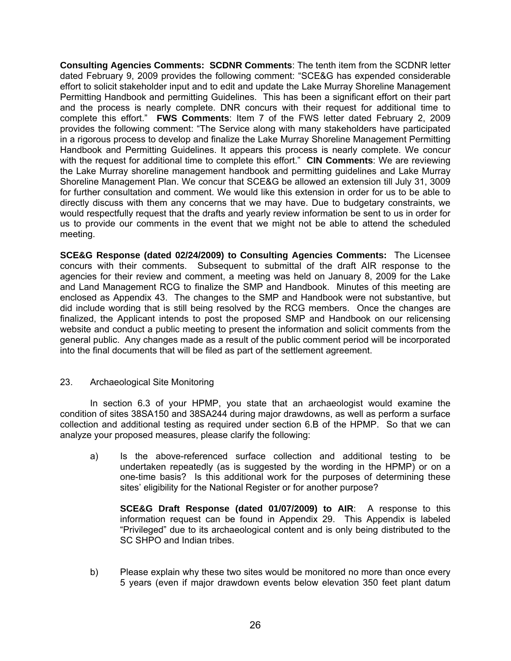**Consulting Agencies Comments: SCDNR Comments**: The tenth item from the SCDNR letter dated February 9, 2009 provides the following comment: "SCE&G has expended considerable effort to solicit stakeholder input and to edit and update the Lake Murray Shoreline Management Permitting Handbook and permitting Guidelines. This has been a significant effort on their part and the process is nearly complete. DNR concurs with their request for additional time to complete this effort." **FWS Comments**: Item 7 of the FWS letter dated February 2, 2009 provides the following comment: "The Service along with many stakeholders have participated in a rigorous process to develop and finalize the Lake Murray Shoreline Management Permitting Handbook and Permitting Guidelines. It appears this process is nearly complete. We concur with the request for additional time to complete this effort." **CIN Comments**: We are reviewing the Lake Murray shoreline management handbook and permitting guidelines and Lake Murray Shoreline Management Plan. We concur that SCE&G be allowed an extension till July 31, 3009 for further consultation and comment. We would like this extension in order for us to be able to directly discuss with them any concerns that we may have. Due to budgetary constraints, we would respectfully request that the drafts and yearly review information be sent to us in order for us to provide our comments in the event that we might not be able to attend the scheduled meeting.

**SCE&G Response (dated 02/24/2009) to Consulting Agencies Comments:** The Licensee concurs with their comments. Subsequent to submittal of the draft AIR response to the agencies for their review and comment, a meeting was held on January 8, 2009 for the Lake and Land Management RCG to finalize the SMP and Handbook. Minutes of this meeting are enclosed as Appendix 43. The changes to the SMP and Handbook were not substantive, but did include wording that is still being resolved by the RCG members. Once the changes are finalized, the Applicant intends to post the proposed SMP and Handbook on our relicensing website and conduct a public meeting to present the information and solicit comments from the general public. Any changes made as a result of the public comment period will be incorporated into the final documents that will be filed as part of the settlement agreement.

# 23. Archaeological Site Monitoring

In section 6.3 of your HPMP, you state that an archaeologist would examine the condition of sites 38SA150 and 38SA244 during major drawdowns, as well as perform a surface collection and additional testing as required under section 6.B of the HPMP. So that we can analyze your proposed measures, please clarify the following:

a) Is the above-referenced surface collection and additional testing to be undertaken repeatedly (as is suggested by the wording in the HPMP) or on a one-time basis? Is this additional work for the purposes of determining these sites' eligibility for the National Register or for another purpose?

**SCE&G Draft Response (dated 01/07/2009) to AIR**: A response to this information request can be found in Appendix 29. This Appendix is labeled "Privileged" due to its archaeological content and is only being distributed to the SC SHPO and Indian tribes.

b) Please explain why these two sites would be monitored no more than once every 5 years (even if major drawdown events below elevation 350 feet plant datum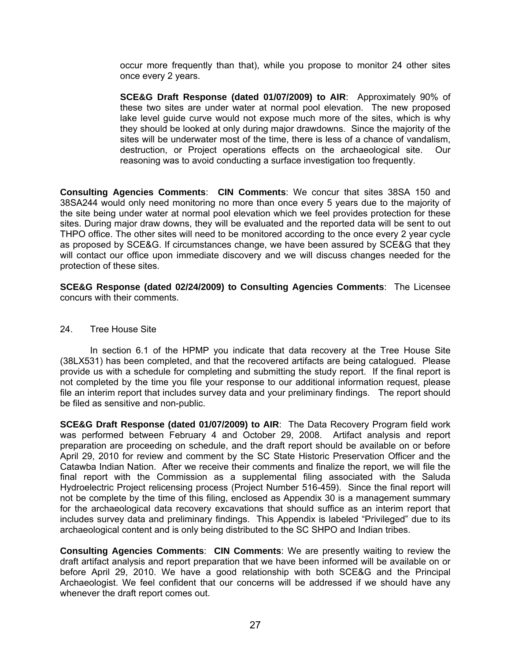occur more frequently than that), while you propose to monitor 24 other sites once every 2 years.

**SCE&G Draft Response (dated 01/07/2009) to AIR**: Approximately 90% of these two sites are under water at normal pool elevation. The new proposed lake level guide curve would not expose much more of the sites, which is why they should be looked at only during major drawdowns. Since the majority of the sites will be underwater most of the time, there is less of a chance of vandalism, destruction, or Project operations effects on the archaeological site. Our reasoning was to avoid conducting a surface investigation too frequently.

**Consulting Agencies Comments**: **CIN Comments**: We concur that sites 38SA 150 and 38SA244 would only need monitoring no more than once every 5 years due to the majority of the site being under water at normal pool elevation which we feel provides protection for these sites. During major draw downs, they will be evaluated and the reported data will be sent to out THPO office. The other sites will need to be monitored according to the once every 2 year cycle as proposed by SCE&G. If circumstances change, we have been assured by SCE&G that they will contact our office upon immediate discovery and we will discuss changes needed for the protection of these sites.

**SCE&G Response (dated 02/24/2009) to Consulting Agencies Comments**: The Licensee concurs with their comments.

#### 24. Tree House Site

 In section 6.1 of the HPMP you indicate that data recovery at the Tree House Site (38LX531) has been completed, and that the recovered artifacts are being catalogued. Please provide us with a schedule for completing and submitting the study report. If the final report is not completed by the time you file your response to our additional information request, please file an interim report that includes survey data and your preliminary findings. The report should be filed as sensitive and non-public.

**SCE&G Draft Response (dated 01/07/2009) to AIR**: The Data Recovery Program field work was performed between February 4 and October 29, 2008. Artifact analysis and report preparation are proceeding on schedule, and the draft report should be available on or before April 29, 2010 for review and comment by the SC State Historic Preservation Officer and the Catawba Indian Nation. After we receive their comments and finalize the report, we will file the final report with the Commission as a supplemental filing associated with the Saluda Hydroelectric Project relicensing process (Project Number 516-459). Since the final report will not be complete by the time of this filing, enclosed as Appendix 30 is a management summary for the archaeological data recovery excavations that should suffice as an interim report that includes survey data and preliminary findings. This Appendix is labeled "Privileged" due to its archaeological content and is only being distributed to the SC SHPO and Indian tribes.

**Consulting Agencies Comments**: **CIN Comments**: We are presently waiting to review the draft artifact analysis and report preparation that we have been informed will be available on or before April 29, 2010. We have a good relationship with both SCE&G and the Principal Archaeologist. We feel confident that our concerns will be addressed if we should have any whenever the draft report comes out.